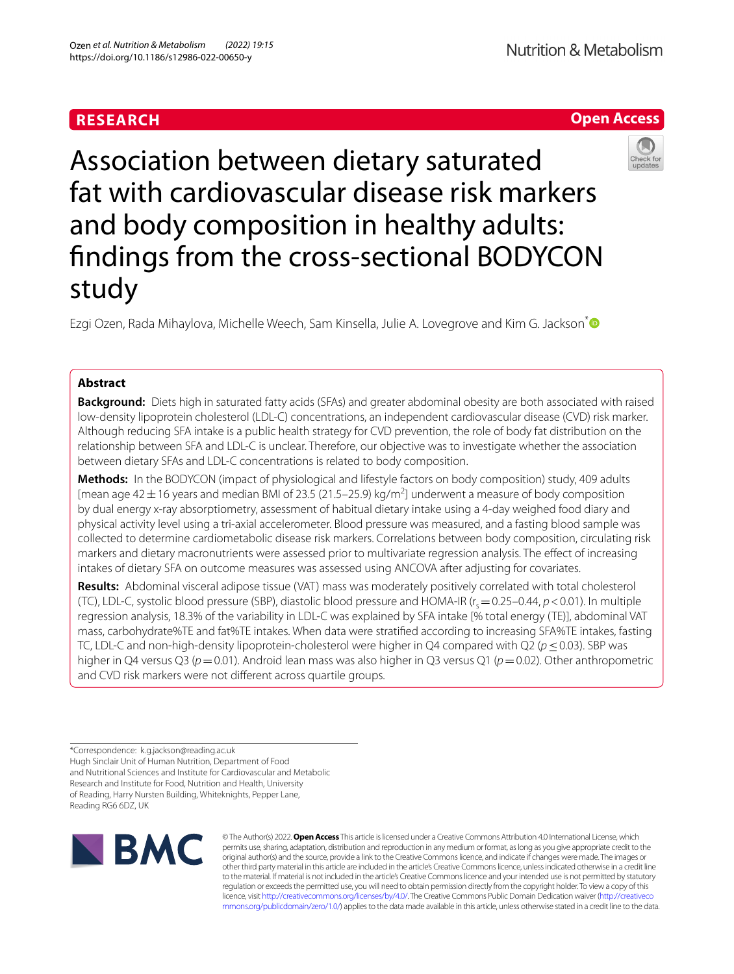# **RESEARCH**

# Association between dietary saturated fat with cardiovascular disease risk markers and body composition in healthy adults: fndings from the cross-sectional BODYCON study

Ezgi Ozen, Rada Mihaylova, Michelle Weech, Sam Kinsella, Julie A. Lovegrove and Kim G. Jackson<sup>[\\*](http://orcid.org/0000-0002-0070-3203)</sup>

# **Abstract**

**Background:** Diets high in saturated fatty acids (SFAs) and greater abdominal obesity are both associated with raised low-density lipoprotein cholesterol (LDL-C) concentrations, an independent cardiovascular disease (CVD) risk marker. Although reducing SFA intake is a public health strategy for CVD prevention, the role of body fat distribution on the relationship between SFA and LDL-C is unclear. Therefore, our objective was to investigate whether the association between dietary SFAs and LDL-C concentrations is related to body composition.

**Methods:** In the BODYCON (impact of physiological and lifestyle factors on body composition) study, 409 adults [mean age 42  $\pm$  16 years and median BMI of 23.5 (21.5–25.9) kg/m<sup>2</sup>] underwent a measure of body composition by dual energy x-ray absorptiometry, assessment of habitual dietary intake using a 4-day weighed food diary and physical activity level using a tri-axial accelerometer. Blood pressure was measured, and a fasting blood sample was collected to determine cardiometabolic disease risk markers. Correlations between body composition, circulating risk markers and dietary macronutrients were assessed prior to multivariate regression analysis. The efect of increasing intakes of dietary SFA on outcome measures was assessed using ANCOVA after adjusting for covariates.

**Results:** Abdominal visceral adipose tissue (VAT) mass was moderately positively correlated with total cholesterol (TC), LDL-C, systolic blood pressure (SBP), diastolic blood pressure and HOMA-IR ( $r_s$  = 0.25–0.44,  $p$  < 0.01). In multiple regression analysis, 18.3% of the variability in LDL-C was explained by SFA intake [% total energy (TE)], abdominal VAT mass, carbohydrate%TE and fat%TE intakes. When data were stratifed according to increasing SFA%TE intakes, fasting TC, LDL-C and non-high-density lipoprotein-cholesterol were higher in Q4 compared with Q2 (*p*≤0.03). SBP was higher in Q4 versus Q3 (*p*=0.01). Android lean mass was also higher in Q3 versus Q1 (*p*=0.02). Other anthropometric and CVD risk markers were not diferent across quartile groups.

\*Correspondence: k.g.jackson@reading.ac.uk Hugh Sinclair Unit of Human Nutrition, Department of Food and Nutritional Sciences and Institute for Cardiovascular and Metabolic Research and Institute for Food, Nutrition and Health, University of Reading, Harry Nursten Building, Whiteknights, Pepper Lane, Reading RG6 6DZ, UK



© The Author(s) 2022. **Open Access** This article is licensed under a Creative Commons Attribution 4.0 International License, which permits use, sharing, adaptation, distribution and reproduction in any medium or format, as long as you give appropriate credit to the original author(s) and the source, provide a link to the Creative Commons licence, and indicate if changes were made. The images or other third party material in this article are included in the article's Creative Commons licence, unless indicated otherwise in a credit line to the material. If material is not included in the article's Creative Commons licence and your intended use is not permitted by statutory regulation or exceeds the permitted use, you will need to obtain permission directly from the copyright holder. To view a copy of this licence, visit [http://creativecommons.org/licenses/by/4.0/.](http://creativecommons.org/licenses/by/4.0/) The Creative Commons Public Domain Dedication waiver ([http://creativeco](http://creativecommons.org/publicdomain/zero/1.0/) [mmons.org/publicdomain/zero/1.0/](http://creativecommons.org/publicdomain/zero/1.0/)) applies to the data made available in this article, unless otherwise stated in a credit line to the data.



# **Open Access**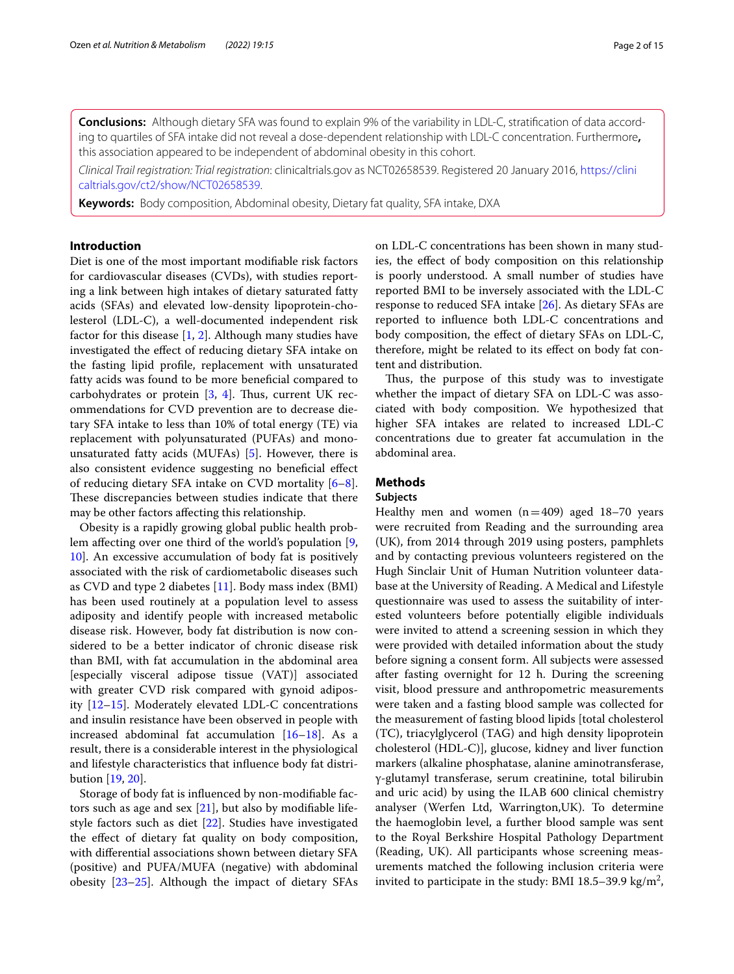**Conclusions:** Although dietary SFA was found to explain 9% of the variability in LDL-C, stratifcation of data according to quartiles of SFA intake did not reveal a dose-dependent relationship with LDL-C concentration. Furthermore**,** this association appeared to be independent of abdominal obesity in this cohort.

*Clinical Trail registration: Trial registration*: clinicaltrials.gov as NCT02658539. Registered 20 January 2016, [https://clini](https://clinicaltrials.gov/ct2/show/NCT02658539) [caltrials.gov/ct2/show/NCT02658539](https://clinicaltrials.gov/ct2/show/NCT02658539).

**Keywords:** Body composition, Abdominal obesity, Dietary fat quality, SFA intake, DXA

## **Introduction**

Diet is one of the most important modifable risk factors for cardiovascular diseases (CVDs), with studies reporting a link between high intakes of dietary saturated fatty acids (SFAs) and elevated low-density lipoprotein-cholesterol (LDL-C), a well-documented independent risk factor for this disease [[1,](#page-12-0) [2\]](#page-12-1). Although many studies have investigated the effect of reducing dietary SFA intake on the fasting lipid profle, replacement with unsaturated fatty acids was found to be more benefcial compared to carbohydrates or protein  $[3, 4]$  $[3, 4]$  $[3, 4]$  $[3, 4]$ . Thus, current UK recommendations for CVD prevention are to decrease dietary SFA intake to less than 10% of total energy (TE) via replacement with polyunsaturated (PUFAs) and monounsaturated fatty acids (MUFAs) [[5\]](#page-12-4). However, there is also consistent evidence suggesting no beneficial effect of reducing dietary SFA intake on CVD mortality [\[6](#page-12-5)[–8](#page-12-6)]. These discrepancies between studies indicate that there may be other factors afecting this relationship.

Obesity is a rapidly growing global public health problem afecting over one third of the world's population [\[9](#page-12-7), [10\]](#page-12-8). An excessive accumulation of body fat is positively associated with the risk of cardiometabolic diseases such as CVD and type 2 diabetes [\[11](#page-12-9)]. Body mass index (BMI) has been used routinely at a population level to assess adiposity and identify people with increased metabolic disease risk. However, body fat distribution is now considered to be a better indicator of chronic disease risk than BMI, with fat accumulation in the abdominal area [especially visceral adipose tissue (VAT)] associated with greater CVD risk compared with gynoid adiposity [\[12–](#page-12-10)[15\]](#page-12-11). Moderately elevated LDL-C concentrations and insulin resistance have been observed in people with increased abdominal fat accumulation  $[16-18]$  $[16-18]$ . As a result, there is a considerable interest in the physiological and lifestyle characteristics that infuence body fat distribution [\[19,](#page-13-0) [20](#page-13-1)].

Storage of body fat is infuenced by non-modifable factors such as age and sex [\[21\]](#page-13-2), but also by modifable lifestyle factors such as diet [\[22](#page-13-3)]. Studies have investigated the efect of dietary fat quality on body composition, with diferential associations shown between dietary SFA (positive) and PUFA/MUFA (negative) with abdominal obesity [[23](#page-13-4)[–25](#page-13-5)]. Although the impact of dietary SFAs on LDL-C concentrations has been shown in many studies, the efect of body composition on this relationship is poorly understood. A small number of studies have reported BMI to be inversely associated with the LDL-C response to reduced SFA intake [\[26](#page-13-6)]. As dietary SFAs are reported to infuence both LDL-C concentrations and body composition, the efect of dietary SFAs on LDL-C, therefore, might be related to its efect on body fat content and distribution.

Thus, the purpose of this study was to investigate whether the impact of dietary SFA on LDL-C was associated with body composition. We hypothesized that higher SFA intakes are related to increased LDL-C concentrations due to greater fat accumulation in the abdominal area.

## **Methods**

## **Subjects**

Healthy men and women  $(n=409)$  aged 18–70 years were recruited from Reading and the surrounding area (UK), from 2014 through 2019 using posters, pamphlets and by contacting previous volunteers registered on the Hugh Sinclair Unit of Human Nutrition volunteer database at the University of Reading. A Medical and Lifestyle questionnaire was used to assess the suitability of interested volunteers before potentially eligible individuals were invited to attend a screening session in which they were provided with detailed information about the study before signing a consent form. All subjects were assessed after fasting overnight for 12 h. During the screening visit, blood pressure and anthropometric measurements were taken and a fasting blood sample was collected for the measurement of fasting blood lipids [total cholesterol (TC), triacylglycerol (TAG) and high density lipoprotein cholesterol (HDL-C)], glucose, kidney and liver function markers (alkaline phosphatase, alanine aminotransferase, γ-glutamyl transferase, serum creatinine, total bilirubin and uric acid) by using the ILAB 600 clinical chemistry analyser (Werfen Ltd, Warrington,UK). To determine the haemoglobin level, a further blood sample was sent to the Royal Berkshire Hospital Pathology Department (Reading, UK). All participants whose screening measurements matched the following inclusion criteria were invited to participate in the study: BMI 18.5–39.9 kg/m<sup>2</sup>,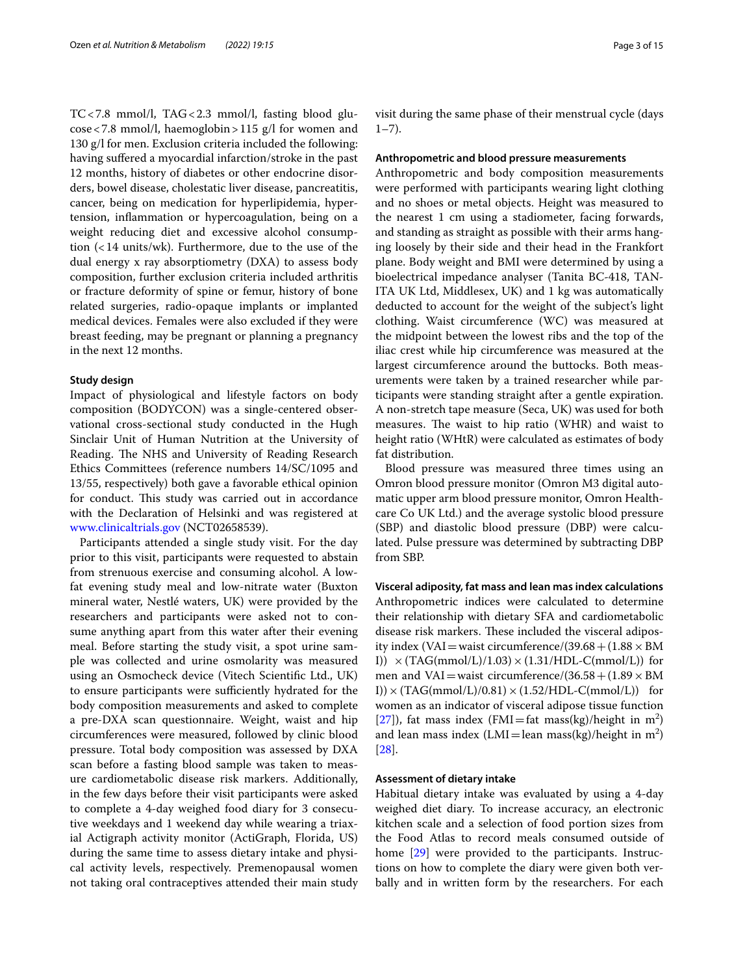TC<7.8 mmol/l, TAG<2.3 mmol/l, fasting blood glucose<7.8 mmol/l, haemoglobin>115 g/l for women and 130 g/l for men. Exclusion criteria included the following: having sufered a myocardial infarction/stroke in the past 12 months, history of diabetes or other endocrine disorders, bowel disease, cholestatic liver disease, pancreatitis, cancer, being on medication for hyperlipidemia, hypertension, infammation or hypercoagulation, being on a weight reducing diet and excessive alcohol consumption (<14 units/wk). Furthermore, due to the use of the dual energy x ray absorptiometry (DXA) to assess body composition, further exclusion criteria included arthritis or fracture deformity of spine or femur, history of bone related surgeries, radio-opaque implants or implanted medical devices. Females were also excluded if they were breast feeding, may be pregnant or planning a pregnancy in the next 12 months.

## **Study design**

Impact of physiological and lifestyle factors on body composition (BODYCON) was a single-centered observational cross-sectional study conducted in the Hugh Sinclair Unit of Human Nutrition at the University of Reading. The NHS and University of Reading Research Ethics Committees (reference numbers 14/SC/1095 and 13/55, respectively) both gave a favorable ethical opinion for conduct. This study was carried out in accordance with the Declaration of Helsinki and was registered at [www.clinicaltrials.gov](http://www.clinicaltrials.gov) (NCT02658539).

Participants attended a single study visit. For the day prior to this visit, participants were requested to abstain from strenuous exercise and consuming alcohol. A lowfat evening study meal and low-nitrate water (Buxton mineral water, Nestlé waters, UK) were provided by the researchers and participants were asked not to consume anything apart from this water after their evening meal. Before starting the study visit, a spot urine sample was collected and urine osmolarity was measured using an Osmocheck device (Vitech Scientifc Ltd., UK) to ensure participants were sufficiently hydrated for the body composition measurements and asked to complete a pre-DXA scan questionnaire. Weight, waist and hip circumferences were measured, followed by clinic blood pressure. Total body composition was assessed by DXA scan before a fasting blood sample was taken to measure cardiometabolic disease risk markers. Additionally, in the few days before their visit participants were asked to complete a 4-day weighed food diary for 3 consecutive weekdays and 1 weekend day while wearing a triaxial Actigraph activity monitor (ActiGraph, Florida, US) during the same time to assess dietary intake and physical activity levels, respectively. Premenopausal women not taking oral contraceptives attended their main study visit during the same phase of their menstrual cycle (days  $1 - 7$ ).

## **Anthropometric and blood pressure measurements**

Anthropometric and body composition measurements were performed with participants wearing light clothing and no shoes or metal objects. Height was measured to the nearest 1 cm using a stadiometer, facing forwards, and standing as straight as possible with their arms hanging loosely by their side and their head in the Frankfort plane. Body weight and BMI were determined by using a bioelectrical impedance analyser (Tanita BC-418, TAN-ITA UK Ltd, Middlesex, UK) and 1 kg was automatically deducted to account for the weight of the subject's light clothing. Waist circumference (WC) was measured at the midpoint between the lowest ribs and the top of the iliac crest while hip circumference was measured at the largest circumference around the buttocks. Both measurements were taken by a trained researcher while participants were standing straight after a gentle expiration. A non-stretch tape measure (Seca, UK) was used for both measures. The waist to hip ratio (WHR) and waist to height ratio (WHtR) were calculated as estimates of body fat distribution.

Blood pressure was measured three times using an Omron blood pressure monitor (Omron M3 digital automatic upper arm blood pressure monitor, Omron Healthcare Co UK Ltd.) and the average systolic blood pressure (SBP) and diastolic blood pressure (DBP) were calculated. Pulse pressure was determined by subtracting DBP from SBP.

**Visceral adiposity, fat mass and lean mas index calculations** Anthropometric indices were calculated to determine their relationship with dietary SFA and cardiometabolic disease risk markers. These included the visceral adiposity index (VAI = waist circumference/(39.68 +  $(1.88 \times BM)$ I))  $\times$  (TAG(mmol/L)/1.03)  $\times$  (1.31/HDL-C(mmol/L)) for men and VAI=waist circumference/(36.58 +  $(1.89 \times BM$ I))  $\times$  (TAG(mmol/L)/0.81)  $\times$  (1.52/HDL-C(mmol/L)) for women as an indicator of visceral adipose tissue function [[27\]](#page-13-7)), fat mass index (FMI=fat mass(kg)/height in  $m^2$ ) and lean mass index  $(LMI = lean \text{ mass}(kg)/height \text{ in } m^2)$ [[28\]](#page-13-8).

## **Assessment of dietary intake**

Habitual dietary intake was evaluated by using a 4-day weighed diet diary. To increase accuracy, an electronic kitchen scale and a selection of food portion sizes from the Food Atlas to record meals consumed outside of home [[29\]](#page-13-9) were provided to the participants. Instructions on how to complete the diary were given both verbally and in written form by the researchers. For each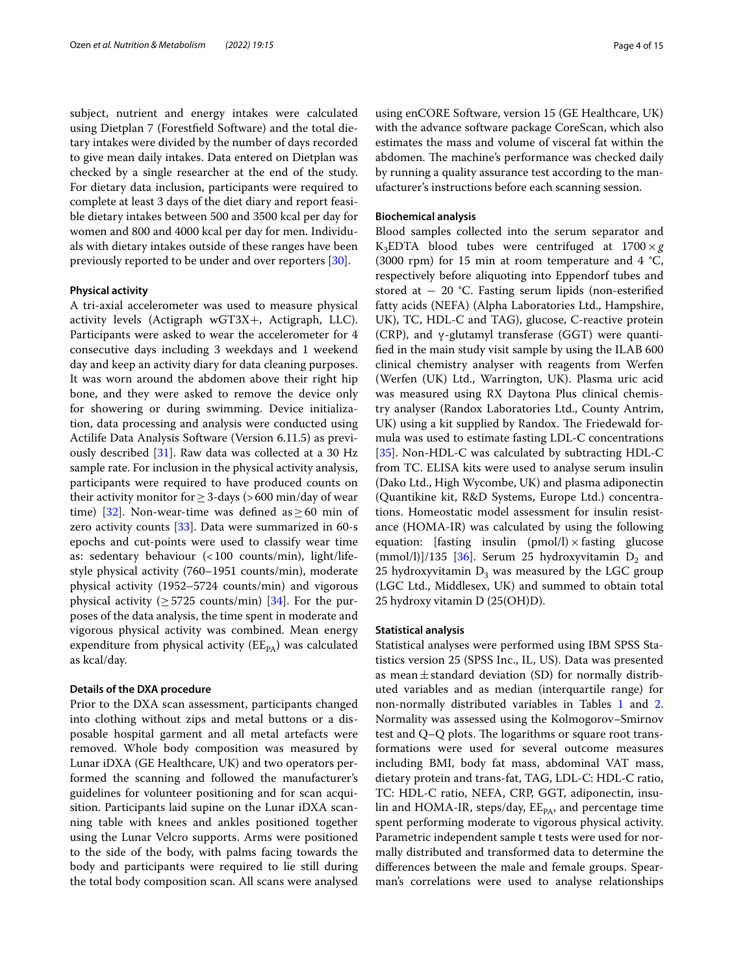subject, nutrient and energy intakes were calculated using Dietplan 7 (Forestfeld Software) and the total dietary intakes were divided by the number of days recorded to give mean daily intakes. Data entered on Dietplan was checked by a single researcher at the end of the study. For dietary data inclusion, participants were required to complete at least 3 days of the diet diary and report feasible dietary intakes between 500 and 3500 kcal per day for women and 800 and 4000 kcal per day for men. Individuals with dietary intakes outside of these ranges have been previously reported to be under and over reporters [\[30](#page-13-10)].

### **Physical activity**

A tri-axial accelerometer was used to measure physical activity levels (Actigraph wGT3X+, Actigraph, LLC). Participants were asked to wear the accelerometer for 4 consecutive days including 3 weekdays and 1 weekend day and keep an activity diary for data cleaning purposes. It was worn around the abdomen above their right hip bone, and they were asked to remove the device only for showering or during swimming. Device initialization, data processing and analysis were conducted using Actilife Data Analysis Software (Version 6.11.5) as previously described [[31](#page-13-11)]. Raw data was collected at a 30 Hz sample rate. For inclusion in the physical activity analysis, participants were required to have produced counts on their activity monitor for  $\geq$  3-days (>600 min/day of wear time) [\[32](#page-13-12)]. Non-wear-time was defined as > 60 min of zero activity counts  $[33]$  $[33]$ . Data were summarized in 60-s epochs and cut-points were used to classify wear time as: sedentary behaviour (<100 counts/min), light/lifestyle physical activity (760–1951 counts/min), moderate physical activity (1952–5724 counts/min) and vigorous physical activity ( $\geq$  5725 counts/min) [[34](#page-13-14)]. For the purposes of the data analysis, the time spent in moderate and vigorous physical activity was combined. Mean energy expenditure from physical activity  $(EE_{PA})$  was calculated as kcal/day.

## **Details of the DXA procedure**

Prior to the DXA scan assessment, participants changed into clothing without zips and metal buttons or a disposable hospital garment and all metal artefacts were removed. Whole body composition was measured by Lunar iDXA (GE Healthcare, UK) and two operators performed the scanning and followed the manufacturer's guidelines for volunteer positioning and for scan acquisition. Participants laid supine on the Lunar iDXA scanning table with knees and ankles positioned together using the Lunar Velcro supports. Arms were positioned to the side of the body, with palms facing towards the body and participants were required to lie still during the total body composition scan. All scans were analysed using enCORE Software, version 15 (GE Healthcare, UK) with the advance software package CoreScan, which also estimates the mass and volume of visceral fat within the abdomen. The machine's performance was checked daily by running a quality assurance test according to the manufacturer's instructions before each scanning session.

## **Biochemical analysis**

Blood samples collected into the serum separator and K<sub>3</sub>EDTA blood tubes were centrifuged at  $1700 \times g$ (3000 rpm) for 15 min at room temperature and 4  $^{\circ}C$ , respectively before aliquoting into Eppendorf tubes and stored at − 20 °C. Fasting serum lipids (non-esterifed fatty acids (NEFA) (Alpha Laboratories Ltd., Hampshire, UK), TC, HDL-C and TAG), glucose, C-reactive protein (CRP), and ɣ-glutamyl transferase (GGT) were quantifed in the main study visit sample by using the ILAB 600 clinical chemistry analyser with reagents from Werfen (Werfen (UK) Ltd., Warrington, UK). Plasma uric acid was measured using RX Daytona Plus clinical chemistry analyser (Randox Laboratories Ltd., County Antrim, UK) using a kit supplied by Randox. The Friedewald formula was used to estimate fasting LDL-C concentrations [[35\]](#page-13-15). Non-HDL-C was calculated by subtracting HDL-C from TC. ELISA kits were used to analyse serum insulin (Dako Ltd., High Wycombe, UK) and plasma adiponectin (Quantikine kit, R&D Systems, Europe Ltd.) concentrations. Homeostatic model assessment for insulin resistance (HOMA-IR) was calculated by using the following equation: [fasting insulin (pmol/l)  $\times$  fasting glucose (mmol/l)]/135 [\[36\]](#page-13-16). Serum 25 hydroxyvitamin  $D_2$  and 25 hydroxyvitamin  $D_3$  was measured by the LGC group (LGC Ltd., Middlesex, UK) and summed to obtain total 25 hydroxy vitamin D (25(OH)D).

## **Statistical analysis**

Statistical analyses were performed using IBM SPSS Statistics version 25 (SPSS Inc., IL, US). Data was presented as mean $\pm$ standard deviation (SD) for normally distributed variables and as median (interquartile range) for non-normally distributed variables in Tables [1](#page-4-0) and [2](#page-5-0). Normality was assessed using the Kolmogorov–Smirnov test and  $Q-Q$  plots. The logarithms or square root transformations were used for several outcome measures including BMI, body fat mass, abdominal VAT mass, dietary protein and trans-fat, TAG, LDL-C: HDL-C ratio, TC: HDL-C ratio, NEFA, CRP, GGT, adiponectin, insulin and HOMA-IR, steps/day,  $EE_{PA}$ , and percentage time spent performing moderate to vigorous physical activity. Parametric independent sample t tests were used for normally distributed and transformed data to determine the diferences between the male and female groups. Spearman's correlations were used to analyse relationships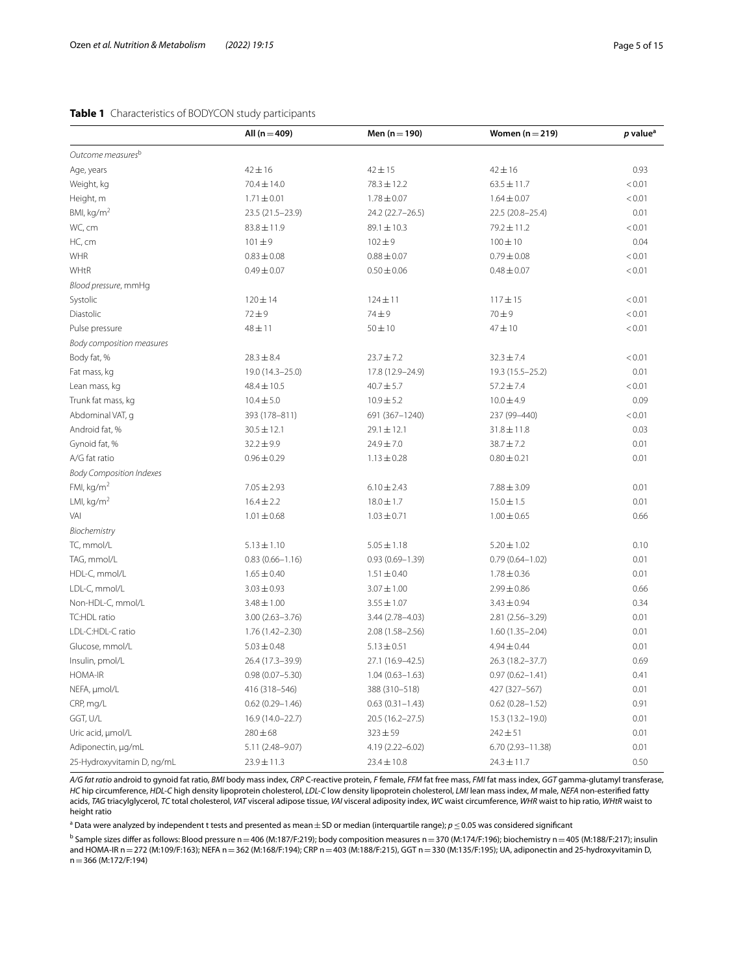## <span id="page-4-0"></span>**Table 1** Characteristics of BODYCON study participants

|                                 | All $(n = 409)$     | Men $(n = 190)$     | Women $(n=219)$      | p value <sup>a</sup> |
|---------------------------------|---------------------|---------------------|----------------------|----------------------|
| Outcome measures <sup>b</sup>   |                     |                     |                      |                      |
| Age, years                      | $42 \pm 16$         | $42 \pm 15$         | $42 \pm 16$          | 0.93                 |
| Weight, kg                      | $70.4 \pm 14.0$     | $78.3 \pm 12.2$     | $63.5 \pm 11.7$      | < 0.01               |
| Height, m                       | $1.71 \pm 0.01$     | $1.78 \pm 0.07$     | $1.64 \pm 0.07$      | < 0.01               |
| BMI, kg/m <sup>2</sup>          | 23.5 (21.5-23.9)    | 24.2 (22.7-26.5)    | 22.5 (20.8-25.4)     | 0.01                 |
| WC, cm                          | $83.8 \pm 11.9$     | $89.1 \pm 10.3$     | 79.2±11.2            | < 0.01               |
| HC, cm                          | $101 + 9$           | $102 + 9$           | $100 \pm 10$         | 0.04                 |
| WHR                             | $0.83 \pm 0.08$     | $0.88 \pm 0.07$     | $0.79 \pm 0.08$      | < 0.01               |
| WHtR                            | $0.49 \pm 0.07$     | $0.50 \pm 0.06$     | $0.48 \pm 0.07$      | < 0.01               |
| Blood pressure, mmHg            |                     |                     |                      |                      |
| Systolic                        | $120 \pm 14$        | $124 \pm 11$        | $117 + 15$           | < 0.01               |
| Diastolic                       | $72 + 9$            | 74±9                | $70\pm9$             | < 0.01               |
| Pulse pressure                  | $48 + 11$           | $50 \pm 10$         | $47 + 10$            | < 0.01               |
| Body composition measures       |                     |                     |                      |                      |
| Body fat, %                     | $28.3 \pm 8.4$      | $23.7 \pm 7.2$      | $32.3 \pm 7.4$       | < 0.01               |
| Fat mass, kg                    | 19.0 (14.3-25.0)    | 17.8 (12.9-24.9)    | 19.3 (15.5 - 25.2)   | 0.01                 |
| Lean mass, kg                   | $48.4 \pm 10.5$     | $40.7 \pm 5.7$      | $57.2 \pm 7.4$       | < 0.01               |
| Trunk fat mass, kg              | $10.4 \pm 5.0$      | $10.9 \pm 5.2$      | $10.0 \pm 4.9$       | 0.09                 |
| Abdominal VAT, q                | 393 (178-811)       | 691 (367-1240)      | 237 (99-440)         | < 0.01               |
| Android fat, %                  | $30.5 \pm 12.1$     | $29.1 \pm 12.1$     | $31.8 \pm 11.8$      | 0.03                 |
| Gynoid fat, %                   | $32.2 \pm 9.9$      | $24.9 \pm 7.0$      | 38.7±7.2             | 0.01                 |
| A/G fat ratio                   | $0.96 \pm 0.29$     | $1.13 \pm 0.28$     | $0.80 \pm 0.21$      | 0.01                 |
| <b>Body Composition Indexes</b> |                     |                     |                      |                      |
| FMI, $kg/m2$                    | $7.05 \pm 2.93$     | $6.10 \pm 2.43$     | $7.88 \pm 3.09$      | 0.01                 |
| LMI, $kg/m2$                    | $16.4 \pm 2.2$      | $18.0 \pm 1.7$      | $15.0 \pm 1.5$       | 0.01                 |
| VAI                             | $1.01 \pm 0.68$     | $1.03 \pm 0.71$     | $1.00 \pm 0.65$      | 0.66                 |
| Biochemistry                    |                     |                     |                      |                      |
| TC, mmol/L                      | $5.13 \pm 1.10$     | $5.05 \pm 1.18$     | $5.20 \pm 1.02$      | 0.10                 |
| TAG, mmol/L                     | $0.83(0.66 - 1.16)$ | $0.93(0.69 - 1.39)$ | $0.79(0.64 - 1.02)$  | 0.01                 |
| HDL-C, mmol/L                   | $1.65 \pm 0.40$     | $1.51 \pm 0.40$     | $1.78 \pm 0.36$      | 0.01                 |
| LDL-C, mmol/L                   | $3.03 \pm 0.93$     | $3.07 \pm 1.00$     | $2.99 \pm 0.86$      | 0.66                 |
| Non-HDL-C, mmol/L               | $3.48 \pm 1.00$     | $3.55 \pm 1.07$     | $3.43 \pm 0.94$      | 0.34                 |
| TC:HDL ratio                    | $3.00(2.63 - 3.76)$ | 3.44 (2.78-4.03)    | 2.81 (2.56-3.29)     | 0.01                 |
| LDL-C:HDL-C ratio               | 1.76 (1.42-2.30)    | 2.08 (1.58-2.56)    | $1.60(1.35 - 2.04)$  | 0.01                 |
| Glucose, mmol/L                 | $5.03 \pm 0.48$     | $5.13 \pm 0.51$     | $4.94 \pm 0.44$      | 0.01                 |
| Insulin, pmol/L                 | 26.4 (17.3-39.9)    | 27.1 (16.9-42.5)    | 26.3 (18.2-37.7)     | 0.69                 |
| <b>HOMA-IR</b>                  | $0.98(0.07 - 5.30)$ | $1.04(0.63 - 1.63)$ | $0.97(0.62 - 1.41)$  | 0.41                 |
| NEFA, µmol/L                    | 416 (318-546)       | 388 (310-518)       | 427 (327-567)        | 0.01                 |
| CRP, mg/L                       | $0.62(0.29 - 1.46)$ | $0.63(0.31 - 1.43)$ | $0.62(0.28 - 1.52)$  | 0.91                 |
| GGT, U/L                        | 16.9 (14.0-22.7)    | 20.5 (16.2-27.5)    | 15.3 (13.2-19.0)     | 0.01                 |
| Uric acid, umol/L               | $280 \pm 68$        | $323 \pm 59$        | $242 \pm 51$         | 0.01                 |
| Adiponectin, µg/mL              | 5.11 (2.48-9.07)    | 4.19 (2.22-6.02)    | $6.70(2.93 - 11.38)$ | 0.01                 |
| 25-Hydroxyvitamin D, ng/mL      | $23.9 \pm 11.3$     | $23.4 \pm 10.8$     | $24.3 \pm 11.7$      | 0.50                 |

*A/G fat ratio* android to gynoid fat ratio, *BMI* body mass index, *CRP* C-reactive protein, *F* female, *FFM* fat free mass, *FMI* fat mass index, *GGT* gamma-glutamyl transferase, *HC* hip circumference, *HDL-C* high density lipoprotein cholesterol, *LDL-C* low density lipoprotein cholesterol, *LMI* lean mass index, *M* male, *NEFA* non-esterifed fatty acids, *TAG* triacylglycerol, *TC* total cholesterol, *VAT* visceral adipose tissue, *VAI* visceral adiposity index, *WC* waist circumference, *WHR* waist to hip ratio, *WHtR* waist to height ratio

<sup>a</sup> Data were analyzed by independent t tests and presented as mean±SD or median (interquartile range); *p*≤0.05 was considered significant

<sup>b</sup> Sample sizes differ as follows: Blood pressure n=406 (M:187/F:219); body composition measures n=370 (M:174/F:196); biochemistry n=405 (M:188/F:217); insulin and HOMA-IR n=272 (M:109/F:163); NEFA n=362 (M:168/F:194); CRP n=403 (M:188/F:215), GGT n=330 (M:135/F:195); UA, adiponectin and 25-hydroxyvitamin D, n=366 (M:172/F:194)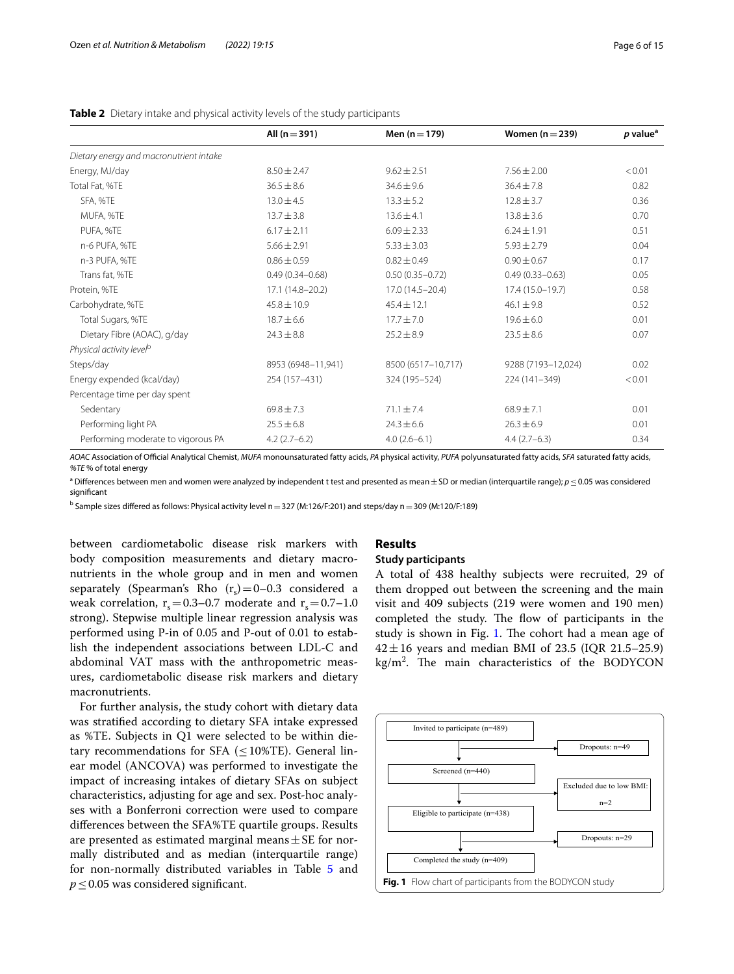|                                         | All $(n = 391)$     | Men $(n = 179)$     | Women $(n=239)$     | p value <sup>a</sup> |
|-----------------------------------------|---------------------|---------------------|---------------------|----------------------|
| Dietary energy and macronutrient intake |                     |                     |                     |                      |
| Energy, MJ/day                          | $8.50 \pm 2.47$     | $9.62 \pm 2.51$     | $7.56 \pm 2.00$     | < 0.01               |
| Total Fat, %TE                          | $36.5 \pm 8.6$      | $34.6 \pm 9.6$      | $36.4 \pm 7.8$      | 0.82                 |
| SFA, %TE                                | $13.0 \pm 4.5$      | $13.3 \pm 5.2$      | $12.8 \pm 3.7$      | 0.36                 |
| MUFA, %TE                               | $13.7 \pm 3.8$      | $13.6 \pm 4.1$      | $13.8 \pm 3.6$      | 0.70                 |
| PUFA, %TE                               | $6.17 \pm 2.11$     | $6.09 \pm 2.33$     | $6.24 \pm 1.91$     | 0.51                 |
| n-6 PUFA, %TE                           | $5.66 \pm 2.91$     | $5.33 \pm 3.03$     | $5.93 \pm 2.79$     | 0.04                 |
| n-3 PUFA, %TE                           | $0.86 \pm 0.59$     | $0.82 \pm 0.49$     | $0.90 \pm 0.67$     | 0.17                 |
| Trans fat, %TE                          | $0.49(0.34 - 0.68)$ | $0.50(0.35 - 0.72)$ | $0.49(0.33 - 0.63)$ | 0.05                 |
| Protein, %TE                            | 17.1 (14.8-20.2)    | $17.0(14.5 - 20.4)$ | 17.4 (15.0–19.7)    | 0.58                 |
| Carbohydrate, %TE                       | $45.8 \pm 10.9$     | $45.4 \pm 12.1$     | $46.1 \pm 9.8$      | 0.52                 |
| Total Sugars, %TE                       | $18.7 \pm 6.6$      | $17.7 \pm 7.0$      | $19.6 \pm 6.0$      | 0.01                 |
| Dietary Fibre (AOAC), g/day             | $24.3 \pm 8.8$      | $25.2 \pm 8.9$      | $23.5 \pm 8.6$      | 0.07                 |
| Physical activity level <sup>b</sup>    |                     |                     |                     |                      |
| Steps/day                               | 8953 (6948-11,941)  | 8500 (6517-10,717)  | 9288 (7193-12,024)  | 0.02                 |
| Energy expended (kcal/day)              | 254 (157-431)       | 324 (195-524)       | 224 (141-349)       | < 0.01               |
| Percentage time per day spent           |                     |                     |                     |                      |
| Sedentary                               | $69.8 \pm 7.3$      | $71.1 \pm 7.4$      | $68.9 \pm 7.1$      | 0.01                 |
| Performing light PA                     | $25.5 \pm 6.8$      | $24.3 \pm 6.6$      | $26.3 \pm 6.9$      | 0.01                 |
| Performing moderate to vigorous PA      | $4.2(2.7-6.2)$      | $4.0(2.6-6.1)$      | $4.4(2.7-6.3)$      | 0.34                 |

<span id="page-5-0"></span>**Table 2** Dietary intake and physical activity levels of the study participants

*AOAC* Association of Ofcial Analytical Chemist, *MUFA* monounsaturated fatty acids, *PA* physical activity, *PUFA* polyunsaturated fatty acids, *SFA* saturated fatty acids, *%TE* % of total energy

a Diferences between men and women were analyzed by independent t test and presented as mean±SD or median (interquartile range); *p*≤0.05 was considered signifcant

 $^{\rm b}$  Sample sizes differed as follows: Physical activity level n  $=$  327 (M:126/F:201) and steps/day n  $=$  309 (M:120/F:189)

between cardiometabolic disease risk markers with body composition measurements and dietary macronutrients in the whole group and in men and women separately (Spearman's Rho  $(r_s) = 0-0.3$  considered a weak correlation,  $r_s = 0.3-0.7$  moderate and  $r_s = 0.7-1.0$ strong). Stepwise multiple linear regression analysis was performed using P-in of 0.05 and P-out of 0.01 to establish the independent associations between LDL-C and abdominal VAT mass with the anthropometric measures, cardiometabolic disease risk markers and dietary macronutrients.

For further analysis, the study cohort with dietary data was stratifed according to dietary SFA intake expressed as %TE. Subjects in Q1 were selected to be within dietary recommendations for SFA ( $\leq$ 10%TE). General linear model (ANCOVA) was performed to investigate the impact of increasing intakes of dietary SFAs on subject characteristics, adjusting for age and sex. Post-hoc analyses with a Bonferroni correction were used to compare diferences between the SFA%TE quartile groups. Results are presented as estimated marginal means  $\pm$  SE for normally distributed and as median (interquartile range) for non-normally distributed variables in Table [5](#page-9-0) and *p*≤0.05 was considered significant.

## **Results**

### **Study participants**

A total of 438 healthy subjects were recruited, 29 of them dropped out between the screening and the main visit and 409 subjects (219 were women and 190 men) completed the study. The flow of participants in the study is shown in Fig. [1](#page-5-1). The cohort had a mean age of  $42 \pm 16$  years and median BMI of 23.5 (IQR 21.5–25.9)  $\text{kg/m}^2$ . The main characteristics of the BODYCON

<span id="page-5-1"></span>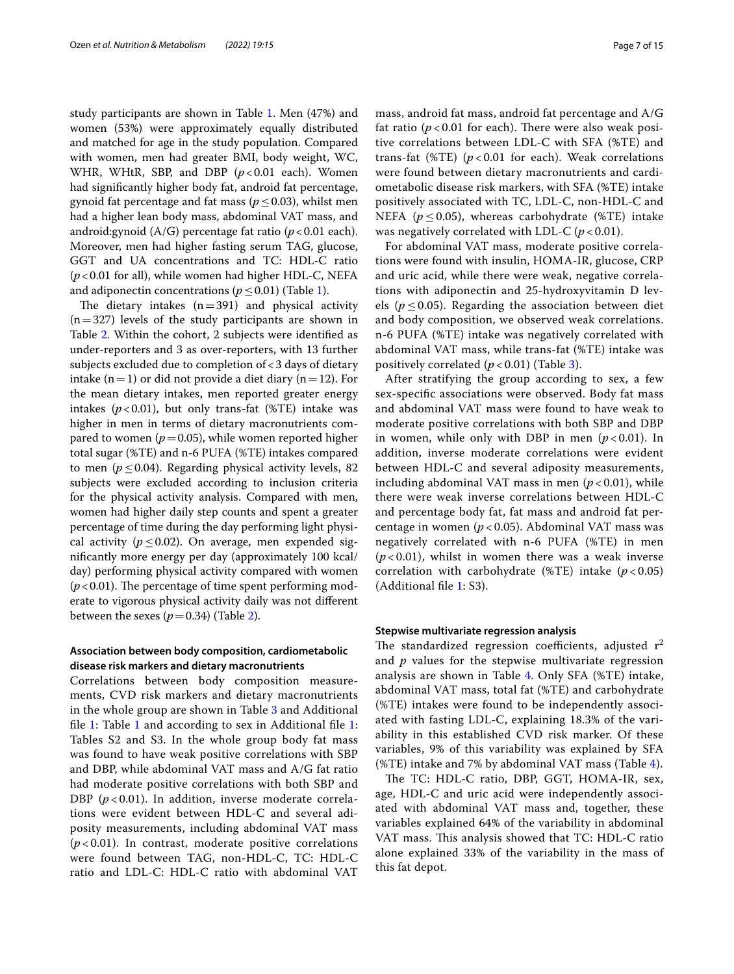study participants are shown in Table [1](#page-4-0). Men (47%) and women (53%) were approximately equally distributed and matched for age in the study population. Compared with women, men had greater BMI, body weight, WC, WHR, WHtR, SBP, and DBP ( $p$ <0.01 each). Women had signifcantly higher body fat, android fat percentage, gynoid fat percentage and fat mass ( $p \leq 0.03$ ), whilst men had a higher lean body mass, abdominal VAT mass, and android:gynoid (A/G) percentage fat ratio (*p*<0.01 each). Moreover, men had higher fasting serum TAG, glucose, GGT and UA concentrations and TC: HDL-C ratio (*p*<0.01 for all), while women had higher HDL-C, NEFA and adiponectin concentrations ( $p \leq 0.01$ ) (Table [1\)](#page-4-0).

The dietary intakes  $(n=391)$  and physical activity  $(n=327)$  levels of the study participants are shown in Table [2.](#page-5-0) Within the cohort, 2 subjects were identifed as under-reporters and 3 as over-reporters, with 13 further subjects excluded due to completion of<3 days of dietary intake  $(n=1)$  or did not provide a diet diary  $(n=12)$ . For the mean dietary intakes, men reported greater energy intakes  $(p<0.01)$ , but only trans-fat (%TE) intake was higher in men in terms of dietary macronutrients compared to women ( $p=0.05$ ), while women reported higher total sugar (%TE) and n-6 PUFA (%TE) intakes compared to men ( $p \le 0.04$ ). Regarding physical activity levels, 82 subjects were excluded according to inclusion criteria for the physical activity analysis. Compared with men, women had higher daily step counts and spent a greater percentage of time during the day performing light physical activity ( $p \le 0.02$ ). On average, men expended signifcantly more energy per day (approximately 100 kcal/ day) performing physical activity compared with women  $(p<0.01)$ . The percentage of time spent performing moderate to vigorous physical activity daily was not diferent between the sexes  $(p=0.34)$  (Table [2](#page-5-0)).

## **Association between body composition, cardiometabolic disease risk markers and dietary macronutrients**

Correlations between body composition measurements, CVD risk markers and dietary macronutrients in the whole group are shown in Table [3](#page-7-0) and Additional fle [1:](#page-12-14) Table [1](#page-4-0) and according to sex in Additional fle [1](#page-12-14): Tables S2 and S3. In the whole group body fat mass was found to have weak positive correlations with SBP and DBP, while abdominal VAT mass and A/G fat ratio had moderate positive correlations with both SBP and DBP ( $p < 0.01$ ). In addition, inverse moderate correlations were evident between HDL-C and several adiposity measurements, including abdominal VAT mass  $(p<0.01)$ . In contrast, moderate positive correlations were found between TAG, non-HDL-C, TC: HDL-C ratio and LDL-C: HDL-C ratio with abdominal VAT mass, android fat mass, android fat percentage and A/G fat ratio ( $p < 0.01$  for each). There were also weak positive correlations between LDL-C with SFA (%TE) and trans-fat (%TE)  $(p<0.01$  for each). Weak correlations were found between dietary macronutrients and cardiometabolic disease risk markers, with SFA (%TE) intake positively associated with TC, LDL-C, non-HDL-C and NEFA ( $p \le 0.05$ ), whereas carbohydrate (%TE) intake was negatively correlated with LDL-C  $(p < 0.01)$ .

For abdominal VAT mass, moderate positive correlations were found with insulin, HOMA-IR, glucose, CRP and uric acid, while there were weak, negative correlations with adiponectin and 25-hydroxyvitamin D levels ( $p \leq 0.05$ ). Regarding the association between diet and body composition, we observed weak correlations. n-6 PUFA (%TE) intake was negatively correlated with abdominal VAT mass, while trans-fat (%TE) intake was positively correlated  $(p < 0.01)$  (Table [3\)](#page-7-0).

After stratifying the group according to sex, a few sex-specifc associations were observed. Body fat mass and abdominal VAT mass were found to have weak to moderate positive correlations with both SBP and DBP in women, while only with DBP in men  $(p < 0.01)$ . In addition, inverse moderate correlations were evident between HDL-C and several adiposity measurements, including abdominal VAT mass in men  $(p < 0.01)$ , while there were weak inverse correlations between HDL-C and percentage body fat, fat mass and android fat percentage in women ( $p < 0.05$ ). Abdominal VAT mass was negatively correlated with n-6 PUFA (%TE) in men  $(p<0.01)$ , whilst in women there was a weak inverse correlation with carbohydrate (%TE) intake  $(p < 0.05)$ (Additional fle [1:](#page-12-14) S3).

## **Stepwise multivariate regression analysis**

The standardized regression coefficients, adjusted  $r^2$ and *p* values for the stepwise multivariate regression analysis are shown in Table [4.](#page-8-0) Only SFA (%TE) intake, abdominal VAT mass, total fat (%TE) and carbohydrate (%TE) intakes were found to be independently associated with fasting LDL-C, explaining 18.3% of the variability in this established CVD risk marker. Of these variables, 9% of this variability was explained by SFA (%TE) intake and 7% by abdominal VAT mass (Table [4\)](#page-8-0).

The TC: HDL-C ratio, DBP, GGT, HOMA-IR, sex, age, HDL-C and uric acid were independently associated with abdominal VAT mass and, together, these variables explained 64% of the variability in abdominal VAT mass. This analysis showed that TC: HDL-C ratio alone explained 33% of the variability in the mass of this fat depot.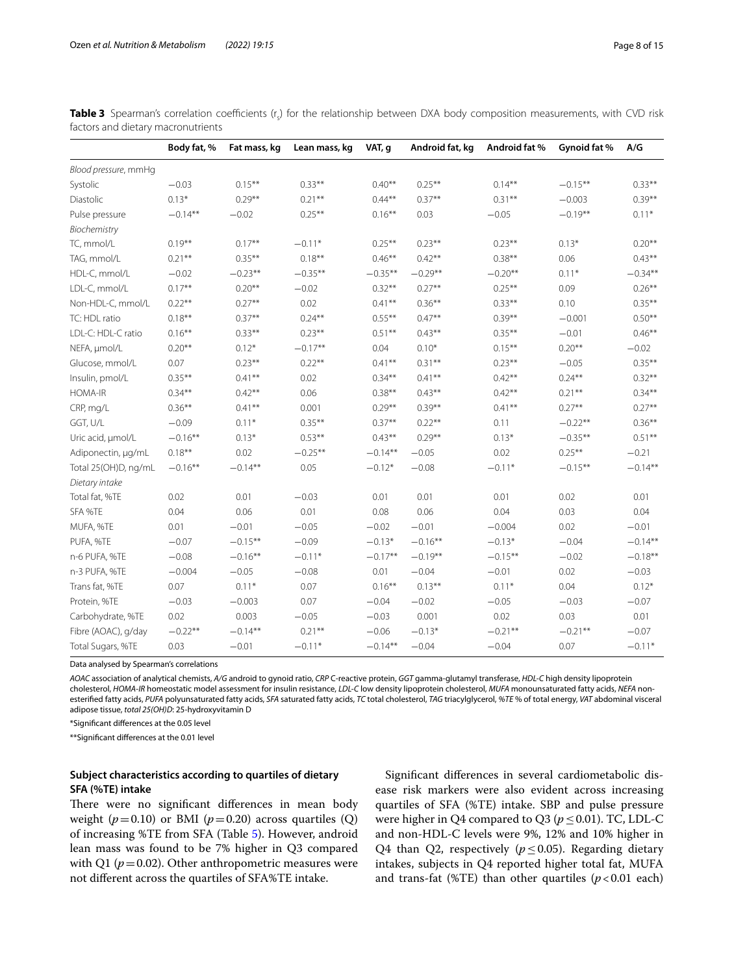<span id="page-7-0"></span>

| Table 3 Spearman's correlation coefficients (r <sub>s</sub> ) for the relationship between DXA body composition measurements, with CVD risk |  |  |  |  |  |
|---------------------------------------------------------------------------------------------------------------------------------------------|--|--|--|--|--|
| factors and dietary macronutrients                                                                                                          |  |  |  |  |  |

|                      | Body fat, % | Fat mass, kg | Lean mass, kg | VAT, q     | Android fat, kg | Android fat % | Gynoid fat % | A/G       |
|----------------------|-------------|--------------|---------------|------------|-----------------|---------------|--------------|-----------|
| Blood pressure, mmHg |             |              |               |            |                 |               |              |           |
| Systolic             | $-0.03$     | $0.15***$    | $0.33***$     | $0.40**$   | $0.25***$       | $0.14***$     | $-0.15***$   | $0.33***$ |
| Diastolic            | $0.13*$     | $0.29**$     | $0.21***$     | $0.44***$  | $0.37**$        | $0.31***$     | $-0.003$     | $0.39***$ |
| Pulse pressure       | $-0.14**$   | $-0.02$      | $0.25***$     | $0.16**$   | 0.03            | $-0.05$       | $-0.19**$    | $0.11*$   |
| Biochemistry         |             |              |               |            |                 |               |              |           |
| TC, mmol/L           | $0.19***$   | $0.17***$    | $-0.11*$      | $0.25***$  | $0.23**$        | $0.23***$     | $0.13*$      | $0.20**$  |
| TAG, mmol/L          | $0.21***$   | $0.35***$    | $0.18***$     | $0.46***$  | $0.42***$       | $0.38***$     | 0.06         | $0.43***$ |
| HDL-C, mmol/L        | $-0.02$     | $-0.23**$    | $-0.35**$     | $-0.35***$ | $-0.29**$       | $-0.20**$     | $0.11*$      | $-0.34**$ |
| LDL-C, mmol/L        | $0.17***$   | $0.20**$     | $-0.02$       | $0.32***$  | $0.27**$        | $0.25***$     | 0.09         | $0.26***$ |
| Non-HDL-C, mmol/L    | $0.22**$    | $0.27**$     | 0.02          | $0.41***$  | $0.36**$        | $0.33**$      | 0.10         | $0.35***$ |
| TC: HDL ratio        | $0.18***$   | $0.37**$     | $0.24***$     | $0.55***$  | $0.47**$        | $0.39**$      | $-0.001$     | $0.50**$  |
| LDL-C: HDL-C ratio   | $0.16***$   | $0.33***$    | $0.23**$      | $0.51***$  | $0.43***$       | $0.35***$     | $-0.01$      | $0.46**$  |
| NEFA, µmol/L         | $0.20**$    | $0.12*$      | $-0.17**$     | 0.04       | $0.10*$         | $0.15***$     | $0.20**$     | $-0.02$   |
| Glucose, mmol/L      | 0.07        | $0.23***$    | $0.22***$     | $0.41***$  | $0.31***$       | $0.23***$     | $-0.05$      | $0.35***$ |
| Insulin, pmol/L      | $0.35***$   | $0.41***$    | 0.02          | $0.34***$  | $0.41***$       | $0.42***$     | $0.24***$    | $0.32***$ |
| HOMA-IR              | $0.34**$    | $0.42***$    | 0.06          | $0.38**$   | $0.43**$        | $0.42**$      | $0.21***$    | $0.34**$  |
| CRP, mg/L            | $0.36***$   | $0.41***$    | 0.001         | $0.29***$  | $0.39**$        | $0.41***$     | $0.27***$    | $0.27**$  |
| GGT, U/L             | $-0.09$     | $0.11*$      | $0.35***$     | $0.37***$  | $0.22***$       | 0.11          | $-0.22**$    | $0.36***$ |
| Uric acid, µmol/L    | $-0.16**$   | $0.13*$      | $0.53***$     | $0.43***$  | $0.29**$        | $0.13*$       | $-0.35**$    | $0.51***$ |
| Adiponectin, µg/mL   | $0.18***$   | 0.02         | $-0.25**$     | $-0.14**$  | $-0.05$         | 0.02          | $0.25***$    | $-0.21$   |
| Total 25(OH)D, ng/mL | $-0.16**$   | $-0.14**$    | 0.05          | $-0.12*$   | $-0.08$         | $-0.11*$      | $-0.15***$   | $-0.14**$ |
| Dietary intake       |             |              |               |            |                 |               |              |           |
| Total fat, %TE       | 0.02        | 0.01         | $-0.03$       | 0.01       | 0.01            | 0.01          | 0.02         | 0.01      |
| SFA %TE              | 0.04        | 0.06         | 0.01          | 0.08       | 0.06            | 0.04          | 0.03         | 0.04      |
| MUFA, %TE            | 0.01        | $-0.01$      | $-0.05$       | $-0.02$    | $-0.01$         | $-0.004$      | 0.02         | $-0.01$   |
| PUFA, %TE            | $-0.07$     | $-0.15***$   | $-0.09$       | $-0.13*$   | $-0.16**$       | $-0.13*$      | $-0.04$      | $-0.14**$ |
| n-6 PUFA, %TE        | $-0.08$     | $-0.16**$    | $-0.11*$      | $-0.17**$  | $-0.19**$       | $-0.15***$    | $-0.02$      | $-0.18**$ |
| n-3 PUFA, %TE        | $-0.004$    | $-0.05$      | $-0.08$       | 0.01       | $-0.04$         | $-0.01$       | 0.02         | $-0.03$   |
| Trans fat, %TE       | 0.07        | $0.11*$      | 0.07          | $0.16***$  | $0.13***$       | $0.11*$       | 0.04         | $0.12*$   |
| Protein, %TE         | $-0.03$     | $-0.003$     | 0.07          | $-0.04$    | $-0.02$         | $-0.05$       | $-0.03$      | $-0.07$   |
| Carbohydrate, %TE    | 0.02        | 0.003        | $-0.05$       | $-0.03$    | 0.001           | 0.02          | 0.03         | 0.01      |
| Fibre (AOAC), g/day  | $-0.22**$   | $-0.14**$    | $0.21***$     | $-0.06$    | $-0.13*$        | $-0.21***$    | $-0.21***$   | $-0.07$   |
| Total Sugars, %TE    | 0.03        | $-0.01$      | $-0.11*$      | $-0.14**$  | $-0.04$         | $-0.04$       | 0.07         | $-0.11*$  |

Data analysed by Spearman's correlations

*AOAC* association of analytical chemists, *A/G* android to gynoid ratio, *CRP* C-reactive protein, *GGT* gamma-glutamyl transferase, *HDL-C* high density lipoprotein cholesterol, *HOMA-IR* homeostatic model assessment for insulin resistance, *LDL-C* low density lipoprotein cholesterol, *MUFA* monounsaturated fatty acids, *NEFA* nonesterifed fatty acids, *PUFA* polyunsaturated fatty acids, *SFA* saturated fatty acids, *TC* total cholesterol, *TAG* triacylglycerol, *%TE* % of total energy, *VAT* abdominal visceral adipose tissue, *total 25(OH)D*: 25-hydroxyvitamin D

\*Signifcant diferences at the 0.05 level

\*\*Signifcant diferences at the 0.01 level

## **Subject characteristics according to quartiles of dietary SFA (%TE) intake**

There were no significant differences in mean body weight  $(p=0.10)$  or BMI  $(p=0.20)$  across quartiles  $(Q)$ of increasing %TE from SFA (Table [5](#page-9-0)). However, android lean mass was found to be 7% higher in Q3 compared with Q1 ( $p = 0.02$ ). Other anthropometric measures were not diferent across the quartiles of SFA%TE intake.

Signifcant diferences in several cardiometabolic disease risk markers were also evident across increasing quartiles of SFA (%TE) intake. SBP and pulse pressure were higher in Q4 compared to Q3 ( $p \le 0.01$ ). TC, LDL-C and non-HDL-C levels were 9%, 12% and 10% higher in Q4 than Q2, respectively ( $p \le 0.05$ ). Regarding dietary intakes, subjects in Q4 reported higher total fat, MUFA and trans-fat (%TE) than other quartiles  $(p<0.01$  each)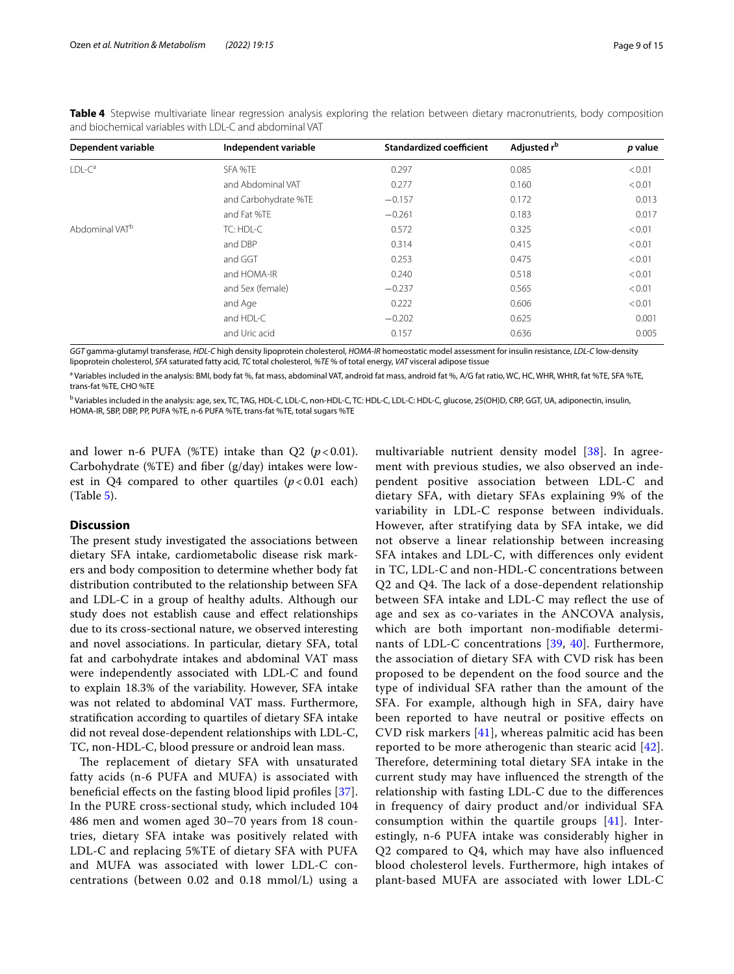| Dependent variable         | Independent variable | <b>Standardized coefficient</b> | Adjusted r <sup>b</sup> | p value |
|----------------------------|----------------------|---------------------------------|-------------------------|---------|
| $LDL-Ca$                   | SFA %TE              | 0.297                           | 0.085                   | < 0.01  |
|                            | and Abdominal VAT    | 0.277                           | 0.160                   | < 0.01  |
|                            | and Carbohydrate %TE | $-0.157$                        | 0.172                   | 0.013   |
|                            | and Fat %TE          | $-0.261$                        | 0.183                   | 0.017   |
| Abdominal VAT <sup>b</sup> | TC: HDL-C            | 0.572                           | 0.325                   | < 0.01  |
|                            | and DBP              | 0.314                           | 0.415                   | < 0.01  |
|                            | and GGT              | 0.253                           | 0.475                   | < 0.01  |
|                            | and HOMA-IR          | 0.240                           | 0.518                   | < 0.01  |
|                            | and Sex (female)     | $-0.237$                        | 0.565                   | < 0.01  |
|                            | and Age              | 0.222                           | 0.606                   | < 0.01  |
|                            | and HDL-C            | $-0.202$                        | 0.625                   | 0.001   |
|                            | and Uric acid        | 0.157                           | 0.636                   | 0.005   |

<span id="page-8-0"></span>**Table 4** Stepwise multivariate linear regression analysis exploring the relation between dietary macronutrients, body composition and biochemical variables with LDL-C and abdominal VAT

*GGT* gamma-glutamyl transferase, *HDL-C* high density lipoprotein cholesterol, *HOMA-IR* homeostatic model assessment for insulin resistance, *LDL-C* low-density lipoprotein cholesterol, *SFA* saturated fatty acid, *TC* total cholesterol, *%TE* % of total energy, *VAT* visceral adipose tissue

<sup>a</sup> Variables included in the analysis: BMI, body fat %, fat mass, abdominal VAT, android fat mass, android fat %, A/G fat ratio, WC, HC, WHR, WHtR, fat %TE, SFA %TE, trans-fat %TE, CHO %TE

<sup>b</sup> Variables included in the analysis: age, sex, TC, TAG, HDL-C, LDL-C, non-HDL-C, TC: HDL-C, LDL-C: HDL-C, glucose, 25(OH)D, CRP, GGT, UA, adiponectin, insulin, HOMA-IR, SBP, DBP, PP, PUFA %TE, n-6 PUFA %TE, trans-fat %TE, total sugars %TE

and lower n-6 PUFA (%TE) intake than  $Q2$  ( $p < 0.01$ ). Carbohydrate (%TE) and fber (g/day) intakes were lowest in  $Q4$  compared to other quartiles  $(p<0.01$  each) (Table [5](#page-9-0)).

## **Discussion**

The present study investigated the associations between dietary SFA intake, cardiometabolic disease risk markers and body composition to determine whether body fat distribution contributed to the relationship between SFA and LDL-C in a group of healthy adults. Although our study does not establish cause and efect relationships due to its cross-sectional nature, we observed interesting and novel associations. In particular, dietary SFA, total fat and carbohydrate intakes and abdominal VAT mass were independently associated with LDL-C and found to explain 18.3% of the variability. However, SFA intake was not related to abdominal VAT mass. Furthermore, stratifcation according to quartiles of dietary SFA intake did not reveal dose-dependent relationships with LDL-C, TC, non-HDL-C, blood pressure or android lean mass.

The replacement of dietary SFA with unsaturated fatty acids (n-6 PUFA and MUFA) is associated with benefcial efects on the fasting blood lipid profles [[37\]](#page-13-17). In the PURE cross-sectional study, which included 104 486 men and women aged 30–70 years from 18 countries, dietary SFA intake was positively related with LDL-C and replacing 5%TE of dietary SFA with PUFA and MUFA was associated with lower LDL-C concentrations (between 0.02 and 0.18 mmol/L) using a multivariable nutrient density model [[38\]](#page-13-18). In agreement with previous studies, we also observed an independent positive association between LDL-C and dietary SFA, with dietary SFAs explaining 9% of the variability in LDL-C response between individuals. However, after stratifying data by SFA intake, we did not observe a linear relationship between increasing SFA intakes and LDL-C, with diferences only evident in TC, LDL-C and non-HDL-C concentrations between Q2 and Q4. The lack of a dose-dependent relationship between SFA intake and LDL-C may refect the use of age and sex as co-variates in the ANCOVA analysis, which are both important non-modifable determinants of LDL-C concentrations [[39,](#page-13-19) [40\]](#page-13-20). Furthermore, the association of dietary SFA with CVD risk has been proposed to be dependent on the food source and the type of individual SFA rather than the amount of the SFA. For example, although high in SFA, dairy have been reported to have neutral or positive efects on CVD risk markers [[41](#page-13-21)], whereas palmitic acid has been reported to be more atherogenic than stearic acid [[42](#page-13-22)]. Therefore, determining total dietary SFA intake in the current study may have infuenced the strength of the relationship with fasting LDL-C due to the diferences in frequency of dairy product and/or individual SFA consumption within the quartile groups [\[41](#page-13-21)]. Interestingly, n-6 PUFA intake was considerably higher in Q2 compared to Q4, which may have also infuenced blood cholesterol levels. Furthermore, high intakes of plant-based MUFA are associated with lower LDL-C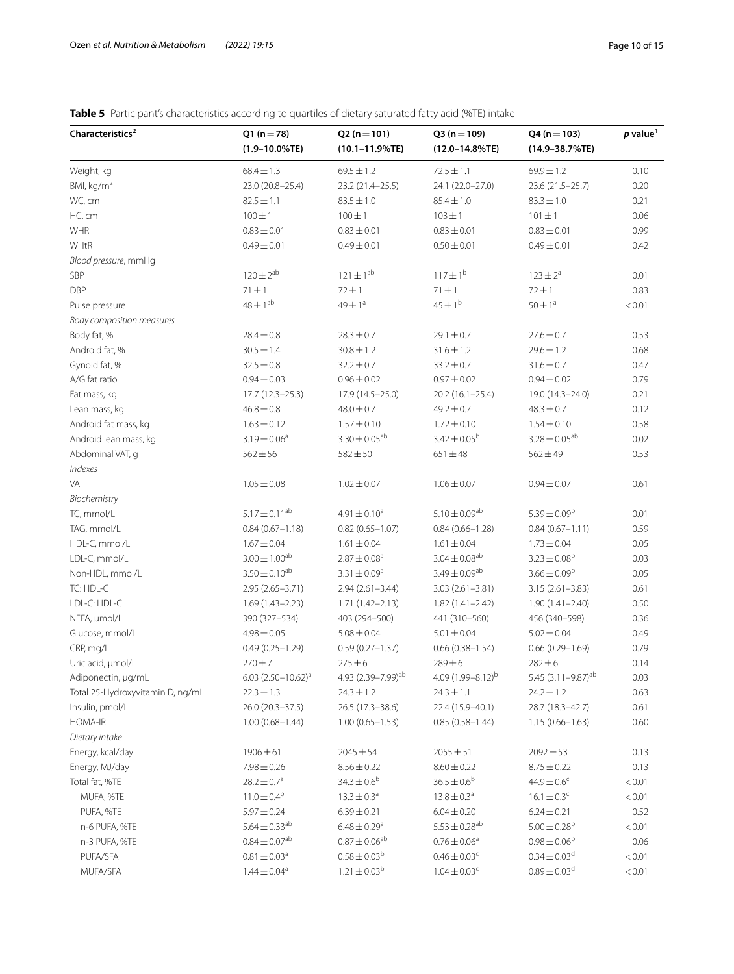## <span id="page-9-0"></span>**Table 5** Participant's characteristics according to quartiles of dietary saturated fatty acid (%TE) intake

| $(1.9 - 10.0\%$ TE)<br>$(10.1 - 11.9\%$ TE)<br>$(12.0 - 14.8\%$ TE)<br>$(14.9 - 38.7\%$ TE)<br>Weight, kg<br>$68.4 \pm 1.3$<br>$69.5 \pm 1.2$<br>$72.5 \pm 1.1$<br>69.9±1.2<br>0.10<br>BMI, kg/m <sup>2</sup><br>23.2 (21.4-25.5)<br>24.1 (22.0-27.0)<br>23.6 (21.5-25.7)<br>0.20<br>23.0 (20.8-25.4)<br>WC, cm<br>0.21<br>$82.5 \pm 1.1$<br>$83.5 \pm 1.0$<br>$85.4 \pm 1.0$<br>$83.3 \pm 1.0$<br>HC, cm<br>$100 \pm 1$<br>$100 \pm 1$<br>$103 \pm 1$<br>0.06<br>$101 \pm 1$<br>WHR<br>$0.83 \pm 0.01$<br>0.99<br>$0.83 \pm 0.01$<br>$0.83 \pm 0.01$<br>$0.83 \pm 0.01$<br>WHtR<br>0.42<br>$0.49 \pm 0.01$<br>$0.49 \pm 0.01$<br>$0.50 \pm 0.01$<br>$0.49 \pm 0.01$<br>Blood pressure, mmHq<br>$120 \pm 2^{ab}$<br>$121 \pm 1^{ab}$<br>$117 \pm 1^{b}$<br>SBP<br>$123 \pm 2^a$<br>0.01<br><b>DBP</b><br>$71 \pm 1$<br>$72 \pm 1$<br>$71 \pm 1$<br>$72 \pm 1$<br>0.83<br>$48 \pm 1^{ab}$<br>$45 \pm 1^b$<br>$49 \pm 1^a$<br>$50 \pm 1^a$<br>< 0.01<br>Pulse pressure<br>Body composition measures<br>Body fat, %<br>$28.4 \pm 0.8$<br>$28.3 \pm 0.7$<br>$29.1 \pm 0.7$<br>$27.6 \pm 0.7$<br>0.53<br>Android fat, %<br>$30.5 \pm 1.4$<br>$30.8 \pm 1.2$<br>$31.6 \pm 1.2$<br>$29.6 \pm 1.2$<br>0.68<br>Gynoid fat, %<br>$32.5 \pm 0.8$<br>$32.2 \pm 0.7$<br>$33.2 \pm 0.7$<br>$31.6 \pm 0.7$<br>0.47<br>A/G fat ratio<br>$0.96 \pm 0.02$<br>$0.97 \pm 0.02$<br>0.79<br>$0.94 \pm 0.03$<br>$0.94 \pm 0.02$<br>Fat mass, kg<br>0.21<br>$17.7(12.3 - 25.3)$<br>17.9 (14.5-25.0)<br>$20.2(16.1-25.4)$<br>19.0 (14.3-24.0)<br>Lean mass, kg<br>$46.8 \pm 0.8$<br>$48.0 \pm 0.7$<br>$49.2 \pm 0.7$<br>$48.3 \pm 0.7$<br>0.12<br>$1.57 \pm 0.10$<br>$1.72 \pm 0.10$<br>$1.54 \pm 0.10$<br>0.58<br>Android fat mass, kg<br>$1.63 \pm 0.12$<br>$3.30 \pm 0.05^{ab}$<br>$3.42 \pm 0.05^{\rm b}$<br>$3.28 \pm 0.05^{ab}$<br>Android lean mass, kg<br>$3.19 \pm 0.06^a$<br>0.02<br>0.53<br>Abdominal VAT, q<br>$562 \pm 56$<br>$582 \pm 50$<br>$651 \pm 48$<br>$562 \pm 49$<br>Indexes<br>VAI<br>$1.05 \pm 0.08$<br>0.61<br>$1.02 \pm 0.07$<br>$1.06 \pm 0.07$<br>$0.94 \pm 0.07$<br>Biochemistry<br>$5.17 \pm 0.11^{ab}$<br>$5.10 \pm 0.09^{ab}$<br>$5.39 \pm 0.09^b$<br>TC, mmol/L<br>$4.91 \pm 0.10^a$<br>0.01<br>TAG, mmol/L<br>$0.84(0.67 - 1.18)$<br>$0.84(0.66 - 1.28)$<br>$0.84(0.67 - 1.11)$<br>0.59<br>$0.82(0.65 - 1.07)$<br>HDL-C, mmol/L<br>$1.67 \pm 0.04$<br>$1.61 \pm 0.04$<br>$1.73 \pm 0.04$<br>0.05<br>$1.61 \pm 0.04$<br>$3.00 \pm 1.00^{ab}$<br>$3.04 \pm 0.08^{ab}$<br>$3.23 \pm 0.08^b$<br>LDL-C, mmol/L<br>$2.87 \pm 0.08^a$<br>0.03<br>$3.50 \pm 0.10^{ab}$<br>$3.49 \pm 0.09^{ab}$<br>$3.66 \pm 0.09^b$<br>Non-HDL, mmol/L<br>$3.31 \pm 0.09^a$<br>0.05<br>TC: HDL-C<br>0.61<br>$2.95(2.65 - 3.71)$<br>$2.94(2.61 - 3.44)$<br>$3.03(2.61 - 3.81)$<br>$3.15(2.61 - 3.83)$<br>LDL-C: HDL-C<br>0.50<br>$1.69(1.43 - 2.23)$<br>$1.71(1.42 - 2.13)$<br>$1.82(1.41 - 2.42)$<br>$1.90(1.41 - 2.40)$<br>NEFA, µmol/L<br>390 (327-534)<br>403 (294-500)<br>441 (310-560)<br>456 (340-598)<br>0.36<br>Glucose, mmol/L<br>$4.98 \pm 0.05$<br>$5.08 \pm 0.04$<br>$5.01 \pm 0.04$<br>$5.02 \pm 0.04$<br>0.49<br>CRP, mg/L<br>$0.49(0.25 - 1.29)$<br>$0.59(0.27 - 1.37)$<br>$0.66(0.38 - 1.54)$<br>$0.66(0.29 - 1.69)$<br>0.79<br>Uric acid, µmol/L<br>270±7<br>$275 \pm 6$<br>$289 \pm 6$<br>$282 \pm 6$<br>0.14<br>4.93 (2.39-7.99) <sup>ab</sup><br>6.03 $(2.50 - 10.62)^a$<br>4.09 $(1.99 - 8.12)^{b}$<br>5.45 $(3.11 - 9.87)^{ab}$<br>0.03<br>Adiponectin, µg/mL<br>Total 25-Hydroxyvitamin D, ng/mL<br>$22.3 \pm 1.3$<br>$24.3 \pm 1.2$<br>$24.3 \pm 1.1$<br>$24.2 \pm 1.2$<br>0.63<br>Insulin, pmol/L<br>0.61<br>26.0 (20.3-37.5)<br>26.5 (17.3-38.6)<br>22.4 (15.9-40.1)<br>28.7 (18.3-42.7)<br>HOMA-IR<br>$1.00(0.68 - 1.44)$<br>$1.00(0.65 - 1.53)$<br>$0.85(0.58 - 1.44)$<br>$1.15(0.66 - 1.63)$<br>0.60<br>Dietary intake<br>Energy, kcal/day<br>$1906 \pm 61$<br>$2045 \pm 54$<br>$2055 \pm 51$<br>$2092 \pm 53$<br>0.13<br>Energy, MJ/day<br>$7.98 \pm 0.26$<br>$8.56 \pm 0.22$<br>$8.60 \pm 0.22$<br>$8.75 \pm 0.22$<br>0.13<br>$28.2 \pm 0.7^a$<br>$34.3 \pm 0.6^b$<br>$36.5 \pm 0.6^b$<br>$44.9 \pm 0.6^c$<br>< 0.01<br>Total fat, %TE<br>$11.0 \pm 0.4^{\rm b}$<br>$13.3 \pm 0.3^a$<br>$13.8 \pm 0.3^a$<br>$16.1 \pm 0.3^c$<br>< 0.01<br>MUFA, %TE<br>$5.97 \pm 0.24$<br>$6.04 \pm 0.20$<br>0.52<br>PUFA, %TE<br>$6.39 \pm 0.21$<br>$6.24 \pm 0.21$<br>5.64 $\pm$ 0.33 <sup>ab</sup><br>$5.53 \pm 0.28^{ab}$<br>$6.48\pm0.29^{\rm a}$<br>$5.00 \pm 0.28^b$<br>< 0.01<br>n-6 PUFA, %TE<br>$0.87 \pm 0.06^{ab}$<br>$0.84 \pm 0.07^{ab}$<br>$0.98 \pm 0.06^b$<br>$0.76 \pm 0.06^a$<br>n-3 PUFA, %TE<br>0.06<br>$0.58 \pm 0.03^b$<br>$0.34 \pm 0.03$ <sup>d</sup><br>PUFA/SFA<br>$0.81 \pm 0.03$ <sup>a</sup><br>$0.46 \pm 0.03$ <sup>c</sup><br>< 0.01<br>MUFA/SFA<br>$1.21 \pm 0.03^{b}$<br>$0.89 \pm 0.03$ <sup>d</sup><br>$1.44 \pm 0.04^a$<br>$1.04 \pm 0.03$ <sup>c</sup><br>< 0.01 | Characteristics <sup>2</sup> | $Q1(n=78)$ | $Q2(n=101)$ | $Q3(n=109)$ | $Q4(n=103)$ | $p$ value <sup>1</sup> |
|--------------------------------------------------------------------------------------------------------------------------------------------------------------------------------------------------------------------------------------------------------------------------------------------------------------------------------------------------------------------------------------------------------------------------------------------------------------------------------------------------------------------------------------------------------------------------------------------------------------------------------------------------------------------------------------------------------------------------------------------------------------------------------------------------------------------------------------------------------------------------------------------------------------------------------------------------------------------------------------------------------------------------------------------------------------------------------------------------------------------------------------------------------------------------------------------------------------------------------------------------------------------------------------------------------------------------------------------------------------------------------------------------------------------------------------------------------------------------------------------------------------------------------------------------------------------------------------------------------------------------------------------------------------------------------------------------------------------------------------------------------------------------------------------------------------------------------------------------------------------------------------------------------------------------------------------------------------------------------------------------------------------------------------------------------------------------------------------------------------------------------------------------------------------------------------------------------------------------------------------------------------------------------------------------------------------------------------------------------------------------------------------------------------------------------------------------------------------------------------------------------------------------------------------------------------------------------------------------------------------------------------------------------------------------------------------------------------------------------------------------------------------------------------------------------------------------------------------------------------------------------------------------------------------------------------------------------------------------------------------------------------------------------------------------------------------------------------------------------------------------------------------------------------------------------------------------------------------------------------------------------------------------------------------------------------------------------------------------------------------------------------------------------------------------------------------------------------------------------------------------------------------------------------------------------------------------------------------------------------------------------------------------------------------------------------------------------------------------------------------------------------------------------------------------------------------------------------------------------------------------------------------------------------------------------------------------------------------------------------------------------------------------------------------------------------------------------------------------------------------------------------------------------------------------------------------------------------------------------------------------------------------------------------------------------------------------------------------------------------------------------------------------------------------------------------------------------------------------------------------------------------------------------------------------------------------------------------------------------------------------------------------------------------------------------------------------------------------------------------------------------------------------------------------------------------------------------------------------------------------------------------------------------|------------------------------|------------|-------------|-------------|-------------|------------------------|
|                                                                                                                                                                                                                                                                                                                                                                                                                                                                                                                                                                                                                                                                                                                                                                                                                                                                                                                                                                                                                                                                                                                                                                                                                                                                                                                                                                                                                                                                                                                                                                                                                                                                                                                                                                                                                                                                                                                                                                                                                                                                                                                                                                                                                                                                                                                                                                                                                                                                                                                                                                                                                                                                                                                                                                                                                                                                                                                                                                                                                                                                                                                                                                                                                                                                                                                                                                                                                                                                                                                                                                                                                                                                                                                                                                                                                                                                                                                                                                                                                                                                                                                                                                                                                                                                                                                                                                                                                                                                                                                                                                                                                                                                                                                                                                                                                                                                                                        |                              |            |             |             |             |                        |
|                                                                                                                                                                                                                                                                                                                                                                                                                                                                                                                                                                                                                                                                                                                                                                                                                                                                                                                                                                                                                                                                                                                                                                                                                                                                                                                                                                                                                                                                                                                                                                                                                                                                                                                                                                                                                                                                                                                                                                                                                                                                                                                                                                                                                                                                                                                                                                                                                                                                                                                                                                                                                                                                                                                                                                                                                                                                                                                                                                                                                                                                                                                                                                                                                                                                                                                                                                                                                                                                                                                                                                                                                                                                                                                                                                                                                                                                                                                                                                                                                                                                                                                                                                                                                                                                                                                                                                                                                                                                                                                                                                                                                                                                                                                                                                                                                                                                                                        |                              |            |             |             |             |                        |
|                                                                                                                                                                                                                                                                                                                                                                                                                                                                                                                                                                                                                                                                                                                                                                                                                                                                                                                                                                                                                                                                                                                                                                                                                                                                                                                                                                                                                                                                                                                                                                                                                                                                                                                                                                                                                                                                                                                                                                                                                                                                                                                                                                                                                                                                                                                                                                                                                                                                                                                                                                                                                                                                                                                                                                                                                                                                                                                                                                                                                                                                                                                                                                                                                                                                                                                                                                                                                                                                                                                                                                                                                                                                                                                                                                                                                                                                                                                                                                                                                                                                                                                                                                                                                                                                                                                                                                                                                                                                                                                                                                                                                                                                                                                                                                                                                                                                                                        |                              |            |             |             |             |                        |
|                                                                                                                                                                                                                                                                                                                                                                                                                                                                                                                                                                                                                                                                                                                                                                                                                                                                                                                                                                                                                                                                                                                                                                                                                                                                                                                                                                                                                                                                                                                                                                                                                                                                                                                                                                                                                                                                                                                                                                                                                                                                                                                                                                                                                                                                                                                                                                                                                                                                                                                                                                                                                                                                                                                                                                                                                                                                                                                                                                                                                                                                                                                                                                                                                                                                                                                                                                                                                                                                                                                                                                                                                                                                                                                                                                                                                                                                                                                                                                                                                                                                                                                                                                                                                                                                                                                                                                                                                                                                                                                                                                                                                                                                                                                                                                                                                                                                                                        |                              |            |             |             |             |                        |
|                                                                                                                                                                                                                                                                                                                                                                                                                                                                                                                                                                                                                                                                                                                                                                                                                                                                                                                                                                                                                                                                                                                                                                                                                                                                                                                                                                                                                                                                                                                                                                                                                                                                                                                                                                                                                                                                                                                                                                                                                                                                                                                                                                                                                                                                                                                                                                                                                                                                                                                                                                                                                                                                                                                                                                                                                                                                                                                                                                                                                                                                                                                                                                                                                                                                                                                                                                                                                                                                                                                                                                                                                                                                                                                                                                                                                                                                                                                                                                                                                                                                                                                                                                                                                                                                                                                                                                                                                                                                                                                                                                                                                                                                                                                                                                                                                                                                                                        |                              |            |             |             |             |                        |
|                                                                                                                                                                                                                                                                                                                                                                                                                                                                                                                                                                                                                                                                                                                                                                                                                                                                                                                                                                                                                                                                                                                                                                                                                                                                                                                                                                                                                                                                                                                                                                                                                                                                                                                                                                                                                                                                                                                                                                                                                                                                                                                                                                                                                                                                                                                                                                                                                                                                                                                                                                                                                                                                                                                                                                                                                                                                                                                                                                                                                                                                                                                                                                                                                                                                                                                                                                                                                                                                                                                                                                                                                                                                                                                                                                                                                                                                                                                                                                                                                                                                                                                                                                                                                                                                                                                                                                                                                                                                                                                                                                                                                                                                                                                                                                                                                                                                                                        |                              |            |             |             |             |                        |
|                                                                                                                                                                                                                                                                                                                                                                                                                                                                                                                                                                                                                                                                                                                                                                                                                                                                                                                                                                                                                                                                                                                                                                                                                                                                                                                                                                                                                                                                                                                                                                                                                                                                                                                                                                                                                                                                                                                                                                                                                                                                                                                                                                                                                                                                                                                                                                                                                                                                                                                                                                                                                                                                                                                                                                                                                                                                                                                                                                                                                                                                                                                                                                                                                                                                                                                                                                                                                                                                                                                                                                                                                                                                                                                                                                                                                                                                                                                                                                                                                                                                                                                                                                                                                                                                                                                                                                                                                                                                                                                                                                                                                                                                                                                                                                                                                                                                                                        |                              |            |             |             |             |                        |
|                                                                                                                                                                                                                                                                                                                                                                                                                                                                                                                                                                                                                                                                                                                                                                                                                                                                                                                                                                                                                                                                                                                                                                                                                                                                                                                                                                                                                                                                                                                                                                                                                                                                                                                                                                                                                                                                                                                                                                                                                                                                                                                                                                                                                                                                                                                                                                                                                                                                                                                                                                                                                                                                                                                                                                                                                                                                                                                                                                                                                                                                                                                                                                                                                                                                                                                                                                                                                                                                                                                                                                                                                                                                                                                                                                                                                                                                                                                                                                                                                                                                                                                                                                                                                                                                                                                                                                                                                                                                                                                                                                                                                                                                                                                                                                                                                                                                                                        |                              |            |             |             |             |                        |
|                                                                                                                                                                                                                                                                                                                                                                                                                                                                                                                                                                                                                                                                                                                                                                                                                                                                                                                                                                                                                                                                                                                                                                                                                                                                                                                                                                                                                                                                                                                                                                                                                                                                                                                                                                                                                                                                                                                                                                                                                                                                                                                                                                                                                                                                                                                                                                                                                                                                                                                                                                                                                                                                                                                                                                                                                                                                                                                                                                                                                                                                                                                                                                                                                                                                                                                                                                                                                                                                                                                                                                                                                                                                                                                                                                                                                                                                                                                                                                                                                                                                                                                                                                                                                                                                                                                                                                                                                                                                                                                                                                                                                                                                                                                                                                                                                                                                                                        |                              |            |             |             |             |                        |
|                                                                                                                                                                                                                                                                                                                                                                                                                                                                                                                                                                                                                                                                                                                                                                                                                                                                                                                                                                                                                                                                                                                                                                                                                                                                                                                                                                                                                                                                                                                                                                                                                                                                                                                                                                                                                                                                                                                                                                                                                                                                                                                                                                                                                                                                                                                                                                                                                                                                                                                                                                                                                                                                                                                                                                                                                                                                                                                                                                                                                                                                                                                                                                                                                                                                                                                                                                                                                                                                                                                                                                                                                                                                                                                                                                                                                                                                                                                                                                                                                                                                                                                                                                                                                                                                                                                                                                                                                                                                                                                                                                                                                                                                                                                                                                                                                                                                                                        |                              |            |             |             |             |                        |
|                                                                                                                                                                                                                                                                                                                                                                                                                                                                                                                                                                                                                                                                                                                                                                                                                                                                                                                                                                                                                                                                                                                                                                                                                                                                                                                                                                                                                                                                                                                                                                                                                                                                                                                                                                                                                                                                                                                                                                                                                                                                                                                                                                                                                                                                                                                                                                                                                                                                                                                                                                                                                                                                                                                                                                                                                                                                                                                                                                                                                                                                                                                                                                                                                                                                                                                                                                                                                                                                                                                                                                                                                                                                                                                                                                                                                                                                                                                                                                                                                                                                                                                                                                                                                                                                                                                                                                                                                                                                                                                                                                                                                                                                                                                                                                                                                                                                                                        |                              |            |             |             |             |                        |
|                                                                                                                                                                                                                                                                                                                                                                                                                                                                                                                                                                                                                                                                                                                                                                                                                                                                                                                                                                                                                                                                                                                                                                                                                                                                                                                                                                                                                                                                                                                                                                                                                                                                                                                                                                                                                                                                                                                                                                                                                                                                                                                                                                                                                                                                                                                                                                                                                                                                                                                                                                                                                                                                                                                                                                                                                                                                                                                                                                                                                                                                                                                                                                                                                                                                                                                                                                                                                                                                                                                                                                                                                                                                                                                                                                                                                                                                                                                                                                                                                                                                                                                                                                                                                                                                                                                                                                                                                                                                                                                                                                                                                                                                                                                                                                                                                                                                                                        |                              |            |             |             |             |                        |
|                                                                                                                                                                                                                                                                                                                                                                                                                                                                                                                                                                                                                                                                                                                                                                                                                                                                                                                                                                                                                                                                                                                                                                                                                                                                                                                                                                                                                                                                                                                                                                                                                                                                                                                                                                                                                                                                                                                                                                                                                                                                                                                                                                                                                                                                                                                                                                                                                                                                                                                                                                                                                                                                                                                                                                                                                                                                                                                                                                                                                                                                                                                                                                                                                                                                                                                                                                                                                                                                                                                                                                                                                                                                                                                                                                                                                                                                                                                                                                                                                                                                                                                                                                                                                                                                                                                                                                                                                                                                                                                                                                                                                                                                                                                                                                                                                                                                                                        |                              |            |             |             |             |                        |
|                                                                                                                                                                                                                                                                                                                                                                                                                                                                                                                                                                                                                                                                                                                                                                                                                                                                                                                                                                                                                                                                                                                                                                                                                                                                                                                                                                                                                                                                                                                                                                                                                                                                                                                                                                                                                                                                                                                                                                                                                                                                                                                                                                                                                                                                                                                                                                                                                                                                                                                                                                                                                                                                                                                                                                                                                                                                                                                                                                                                                                                                                                                                                                                                                                                                                                                                                                                                                                                                                                                                                                                                                                                                                                                                                                                                                                                                                                                                                                                                                                                                                                                                                                                                                                                                                                                                                                                                                                                                                                                                                                                                                                                                                                                                                                                                                                                                                                        |                              |            |             |             |             |                        |
|                                                                                                                                                                                                                                                                                                                                                                                                                                                                                                                                                                                                                                                                                                                                                                                                                                                                                                                                                                                                                                                                                                                                                                                                                                                                                                                                                                                                                                                                                                                                                                                                                                                                                                                                                                                                                                                                                                                                                                                                                                                                                                                                                                                                                                                                                                                                                                                                                                                                                                                                                                                                                                                                                                                                                                                                                                                                                                                                                                                                                                                                                                                                                                                                                                                                                                                                                                                                                                                                                                                                                                                                                                                                                                                                                                                                                                                                                                                                                                                                                                                                                                                                                                                                                                                                                                                                                                                                                                                                                                                                                                                                                                                                                                                                                                                                                                                                                                        |                              |            |             |             |             |                        |
|                                                                                                                                                                                                                                                                                                                                                                                                                                                                                                                                                                                                                                                                                                                                                                                                                                                                                                                                                                                                                                                                                                                                                                                                                                                                                                                                                                                                                                                                                                                                                                                                                                                                                                                                                                                                                                                                                                                                                                                                                                                                                                                                                                                                                                                                                                                                                                                                                                                                                                                                                                                                                                                                                                                                                                                                                                                                                                                                                                                                                                                                                                                                                                                                                                                                                                                                                                                                                                                                                                                                                                                                                                                                                                                                                                                                                                                                                                                                                                                                                                                                                                                                                                                                                                                                                                                                                                                                                                                                                                                                                                                                                                                                                                                                                                                                                                                                                                        |                              |            |             |             |             |                        |
|                                                                                                                                                                                                                                                                                                                                                                                                                                                                                                                                                                                                                                                                                                                                                                                                                                                                                                                                                                                                                                                                                                                                                                                                                                                                                                                                                                                                                                                                                                                                                                                                                                                                                                                                                                                                                                                                                                                                                                                                                                                                                                                                                                                                                                                                                                                                                                                                                                                                                                                                                                                                                                                                                                                                                                                                                                                                                                                                                                                                                                                                                                                                                                                                                                                                                                                                                                                                                                                                                                                                                                                                                                                                                                                                                                                                                                                                                                                                                                                                                                                                                                                                                                                                                                                                                                                                                                                                                                                                                                                                                                                                                                                                                                                                                                                                                                                                                                        |                              |            |             |             |             |                        |
|                                                                                                                                                                                                                                                                                                                                                                                                                                                                                                                                                                                                                                                                                                                                                                                                                                                                                                                                                                                                                                                                                                                                                                                                                                                                                                                                                                                                                                                                                                                                                                                                                                                                                                                                                                                                                                                                                                                                                                                                                                                                                                                                                                                                                                                                                                                                                                                                                                                                                                                                                                                                                                                                                                                                                                                                                                                                                                                                                                                                                                                                                                                                                                                                                                                                                                                                                                                                                                                                                                                                                                                                                                                                                                                                                                                                                                                                                                                                                                                                                                                                                                                                                                                                                                                                                                                                                                                                                                                                                                                                                                                                                                                                                                                                                                                                                                                                                                        |                              |            |             |             |             |                        |
|                                                                                                                                                                                                                                                                                                                                                                                                                                                                                                                                                                                                                                                                                                                                                                                                                                                                                                                                                                                                                                                                                                                                                                                                                                                                                                                                                                                                                                                                                                                                                                                                                                                                                                                                                                                                                                                                                                                                                                                                                                                                                                                                                                                                                                                                                                                                                                                                                                                                                                                                                                                                                                                                                                                                                                                                                                                                                                                                                                                                                                                                                                                                                                                                                                                                                                                                                                                                                                                                                                                                                                                                                                                                                                                                                                                                                                                                                                                                                                                                                                                                                                                                                                                                                                                                                                                                                                                                                                                                                                                                                                                                                                                                                                                                                                                                                                                                                                        |                              |            |             |             |             |                        |
|                                                                                                                                                                                                                                                                                                                                                                                                                                                                                                                                                                                                                                                                                                                                                                                                                                                                                                                                                                                                                                                                                                                                                                                                                                                                                                                                                                                                                                                                                                                                                                                                                                                                                                                                                                                                                                                                                                                                                                                                                                                                                                                                                                                                                                                                                                                                                                                                                                                                                                                                                                                                                                                                                                                                                                                                                                                                                                                                                                                                                                                                                                                                                                                                                                                                                                                                                                                                                                                                                                                                                                                                                                                                                                                                                                                                                                                                                                                                                                                                                                                                                                                                                                                                                                                                                                                                                                                                                                                                                                                                                                                                                                                                                                                                                                                                                                                                                                        |                              |            |             |             |             |                        |
|                                                                                                                                                                                                                                                                                                                                                                                                                                                                                                                                                                                                                                                                                                                                                                                                                                                                                                                                                                                                                                                                                                                                                                                                                                                                                                                                                                                                                                                                                                                                                                                                                                                                                                                                                                                                                                                                                                                                                                                                                                                                                                                                                                                                                                                                                                                                                                                                                                                                                                                                                                                                                                                                                                                                                                                                                                                                                                                                                                                                                                                                                                                                                                                                                                                                                                                                                                                                                                                                                                                                                                                                                                                                                                                                                                                                                                                                                                                                                                                                                                                                                                                                                                                                                                                                                                                                                                                                                                                                                                                                                                                                                                                                                                                                                                                                                                                                                                        |                              |            |             |             |             |                        |
|                                                                                                                                                                                                                                                                                                                                                                                                                                                                                                                                                                                                                                                                                                                                                                                                                                                                                                                                                                                                                                                                                                                                                                                                                                                                                                                                                                                                                                                                                                                                                                                                                                                                                                                                                                                                                                                                                                                                                                                                                                                                                                                                                                                                                                                                                                                                                                                                                                                                                                                                                                                                                                                                                                                                                                                                                                                                                                                                                                                                                                                                                                                                                                                                                                                                                                                                                                                                                                                                                                                                                                                                                                                                                                                                                                                                                                                                                                                                                                                                                                                                                                                                                                                                                                                                                                                                                                                                                                                                                                                                                                                                                                                                                                                                                                                                                                                                                                        |                              |            |             |             |             |                        |
|                                                                                                                                                                                                                                                                                                                                                                                                                                                                                                                                                                                                                                                                                                                                                                                                                                                                                                                                                                                                                                                                                                                                                                                                                                                                                                                                                                                                                                                                                                                                                                                                                                                                                                                                                                                                                                                                                                                                                                                                                                                                                                                                                                                                                                                                                                                                                                                                                                                                                                                                                                                                                                                                                                                                                                                                                                                                                                                                                                                                                                                                                                                                                                                                                                                                                                                                                                                                                                                                                                                                                                                                                                                                                                                                                                                                                                                                                                                                                                                                                                                                                                                                                                                                                                                                                                                                                                                                                                                                                                                                                                                                                                                                                                                                                                                                                                                                                                        |                              |            |             |             |             |                        |
|                                                                                                                                                                                                                                                                                                                                                                                                                                                                                                                                                                                                                                                                                                                                                                                                                                                                                                                                                                                                                                                                                                                                                                                                                                                                                                                                                                                                                                                                                                                                                                                                                                                                                                                                                                                                                                                                                                                                                                                                                                                                                                                                                                                                                                                                                                                                                                                                                                                                                                                                                                                                                                                                                                                                                                                                                                                                                                                                                                                                                                                                                                                                                                                                                                                                                                                                                                                                                                                                                                                                                                                                                                                                                                                                                                                                                                                                                                                                                                                                                                                                                                                                                                                                                                                                                                                                                                                                                                                                                                                                                                                                                                                                                                                                                                                                                                                                                                        |                              |            |             |             |             |                        |
|                                                                                                                                                                                                                                                                                                                                                                                                                                                                                                                                                                                                                                                                                                                                                                                                                                                                                                                                                                                                                                                                                                                                                                                                                                                                                                                                                                                                                                                                                                                                                                                                                                                                                                                                                                                                                                                                                                                                                                                                                                                                                                                                                                                                                                                                                                                                                                                                                                                                                                                                                                                                                                                                                                                                                                                                                                                                                                                                                                                                                                                                                                                                                                                                                                                                                                                                                                                                                                                                                                                                                                                                                                                                                                                                                                                                                                                                                                                                                                                                                                                                                                                                                                                                                                                                                                                                                                                                                                                                                                                                                                                                                                                                                                                                                                                                                                                                                                        |                              |            |             |             |             |                        |
|                                                                                                                                                                                                                                                                                                                                                                                                                                                                                                                                                                                                                                                                                                                                                                                                                                                                                                                                                                                                                                                                                                                                                                                                                                                                                                                                                                                                                                                                                                                                                                                                                                                                                                                                                                                                                                                                                                                                                                                                                                                                                                                                                                                                                                                                                                                                                                                                                                                                                                                                                                                                                                                                                                                                                                                                                                                                                                                                                                                                                                                                                                                                                                                                                                                                                                                                                                                                                                                                                                                                                                                                                                                                                                                                                                                                                                                                                                                                                                                                                                                                                                                                                                                                                                                                                                                                                                                                                                                                                                                                                                                                                                                                                                                                                                                                                                                                                                        |                              |            |             |             |             |                        |
|                                                                                                                                                                                                                                                                                                                                                                                                                                                                                                                                                                                                                                                                                                                                                                                                                                                                                                                                                                                                                                                                                                                                                                                                                                                                                                                                                                                                                                                                                                                                                                                                                                                                                                                                                                                                                                                                                                                                                                                                                                                                                                                                                                                                                                                                                                                                                                                                                                                                                                                                                                                                                                                                                                                                                                                                                                                                                                                                                                                                                                                                                                                                                                                                                                                                                                                                                                                                                                                                                                                                                                                                                                                                                                                                                                                                                                                                                                                                                                                                                                                                                                                                                                                                                                                                                                                                                                                                                                                                                                                                                                                                                                                                                                                                                                                                                                                                                                        |                              |            |             |             |             |                        |
|                                                                                                                                                                                                                                                                                                                                                                                                                                                                                                                                                                                                                                                                                                                                                                                                                                                                                                                                                                                                                                                                                                                                                                                                                                                                                                                                                                                                                                                                                                                                                                                                                                                                                                                                                                                                                                                                                                                                                                                                                                                                                                                                                                                                                                                                                                                                                                                                                                                                                                                                                                                                                                                                                                                                                                                                                                                                                                                                                                                                                                                                                                                                                                                                                                                                                                                                                                                                                                                                                                                                                                                                                                                                                                                                                                                                                                                                                                                                                                                                                                                                                                                                                                                                                                                                                                                                                                                                                                                                                                                                                                                                                                                                                                                                                                                                                                                                                                        |                              |            |             |             |             |                        |
|                                                                                                                                                                                                                                                                                                                                                                                                                                                                                                                                                                                                                                                                                                                                                                                                                                                                                                                                                                                                                                                                                                                                                                                                                                                                                                                                                                                                                                                                                                                                                                                                                                                                                                                                                                                                                                                                                                                                                                                                                                                                                                                                                                                                                                                                                                                                                                                                                                                                                                                                                                                                                                                                                                                                                                                                                                                                                                                                                                                                                                                                                                                                                                                                                                                                                                                                                                                                                                                                                                                                                                                                                                                                                                                                                                                                                                                                                                                                                                                                                                                                                                                                                                                                                                                                                                                                                                                                                                                                                                                                                                                                                                                                                                                                                                                                                                                                                                        |                              |            |             |             |             |                        |
|                                                                                                                                                                                                                                                                                                                                                                                                                                                                                                                                                                                                                                                                                                                                                                                                                                                                                                                                                                                                                                                                                                                                                                                                                                                                                                                                                                                                                                                                                                                                                                                                                                                                                                                                                                                                                                                                                                                                                                                                                                                                                                                                                                                                                                                                                                                                                                                                                                                                                                                                                                                                                                                                                                                                                                                                                                                                                                                                                                                                                                                                                                                                                                                                                                                                                                                                                                                                                                                                                                                                                                                                                                                                                                                                                                                                                                                                                                                                                                                                                                                                                                                                                                                                                                                                                                                                                                                                                                                                                                                                                                                                                                                                                                                                                                                                                                                                                                        |                              |            |             |             |             |                        |
|                                                                                                                                                                                                                                                                                                                                                                                                                                                                                                                                                                                                                                                                                                                                                                                                                                                                                                                                                                                                                                                                                                                                                                                                                                                                                                                                                                                                                                                                                                                                                                                                                                                                                                                                                                                                                                                                                                                                                                                                                                                                                                                                                                                                                                                                                                                                                                                                                                                                                                                                                                                                                                                                                                                                                                                                                                                                                                                                                                                                                                                                                                                                                                                                                                                                                                                                                                                                                                                                                                                                                                                                                                                                                                                                                                                                                                                                                                                                                                                                                                                                                                                                                                                                                                                                                                                                                                                                                                                                                                                                                                                                                                                                                                                                                                                                                                                                                                        |                              |            |             |             |             |                        |
|                                                                                                                                                                                                                                                                                                                                                                                                                                                                                                                                                                                                                                                                                                                                                                                                                                                                                                                                                                                                                                                                                                                                                                                                                                                                                                                                                                                                                                                                                                                                                                                                                                                                                                                                                                                                                                                                                                                                                                                                                                                                                                                                                                                                                                                                                                                                                                                                                                                                                                                                                                                                                                                                                                                                                                                                                                                                                                                                                                                                                                                                                                                                                                                                                                                                                                                                                                                                                                                                                                                                                                                                                                                                                                                                                                                                                                                                                                                                                                                                                                                                                                                                                                                                                                                                                                                                                                                                                                                                                                                                                                                                                                                                                                                                                                                                                                                                                                        |                              |            |             |             |             |                        |
|                                                                                                                                                                                                                                                                                                                                                                                                                                                                                                                                                                                                                                                                                                                                                                                                                                                                                                                                                                                                                                                                                                                                                                                                                                                                                                                                                                                                                                                                                                                                                                                                                                                                                                                                                                                                                                                                                                                                                                                                                                                                                                                                                                                                                                                                                                                                                                                                                                                                                                                                                                                                                                                                                                                                                                                                                                                                                                                                                                                                                                                                                                                                                                                                                                                                                                                                                                                                                                                                                                                                                                                                                                                                                                                                                                                                                                                                                                                                                                                                                                                                                                                                                                                                                                                                                                                                                                                                                                                                                                                                                                                                                                                                                                                                                                                                                                                                                                        |                              |            |             |             |             |                        |
|                                                                                                                                                                                                                                                                                                                                                                                                                                                                                                                                                                                                                                                                                                                                                                                                                                                                                                                                                                                                                                                                                                                                                                                                                                                                                                                                                                                                                                                                                                                                                                                                                                                                                                                                                                                                                                                                                                                                                                                                                                                                                                                                                                                                                                                                                                                                                                                                                                                                                                                                                                                                                                                                                                                                                                                                                                                                                                                                                                                                                                                                                                                                                                                                                                                                                                                                                                                                                                                                                                                                                                                                                                                                                                                                                                                                                                                                                                                                                                                                                                                                                                                                                                                                                                                                                                                                                                                                                                                                                                                                                                                                                                                                                                                                                                                                                                                                                                        |                              |            |             |             |             |                        |
|                                                                                                                                                                                                                                                                                                                                                                                                                                                                                                                                                                                                                                                                                                                                                                                                                                                                                                                                                                                                                                                                                                                                                                                                                                                                                                                                                                                                                                                                                                                                                                                                                                                                                                                                                                                                                                                                                                                                                                                                                                                                                                                                                                                                                                                                                                                                                                                                                                                                                                                                                                                                                                                                                                                                                                                                                                                                                                                                                                                                                                                                                                                                                                                                                                                                                                                                                                                                                                                                                                                                                                                                                                                                                                                                                                                                                                                                                                                                                                                                                                                                                                                                                                                                                                                                                                                                                                                                                                                                                                                                                                                                                                                                                                                                                                                                                                                                                                        |                              |            |             |             |             |                        |
|                                                                                                                                                                                                                                                                                                                                                                                                                                                                                                                                                                                                                                                                                                                                                                                                                                                                                                                                                                                                                                                                                                                                                                                                                                                                                                                                                                                                                                                                                                                                                                                                                                                                                                                                                                                                                                                                                                                                                                                                                                                                                                                                                                                                                                                                                                                                                                                                                                                                                                                                                                                                                                                                                                                                                                                                                                                                                                                                                                                                                                                                                                                                                                                                                                                                                                                                                                                                                                                                                                                                                                                                                                                                                                                                                                                                                                                                                                                                                                                                                                                                                                                                                                                                                                                                                                                                                                                                                                                                                                                                                                                                                                                                                                                                                                                                                                                                                                        |                              |            |             |             |             |                        |
|                                                                                                                                                                                                                                                                                                                                                                                                                                                                                                                                                                                                                                                                                                                                                                                                                                                                                                                                                                                                                                                                                                                                                                                                                                                                                                                                                                                                                                                                                                                                                                                                                                                                                                                                                                                                                                                                                                                                                                                                                                                                                                                                                                                                                                                                                                                                                                                                                                                                                                                                                                                                                                                                                                                                                                                                                                                                                                                                                                                                                                                                                                                                                                                                                                                                                                                                                                                                                                                                                                                                                                                                                                                                                                                                                                                                                                                                                                                                                                                                                                                                                                                                                                                                                                                                                                                                                                                                                                                                                                                                                                                                                                                                                                                                                                                                                                                                                                        |                              |            |             |             |             |                        |
|                                                                                                                                                                                                                                                                                                                                                                                                                                                                                                                                                                                                                                                                                                                                                                                                                                                                                                                                                                                                                                                                                                                                                                                                                                                                                                                                                                                                                                                                                                                                                                                                                                                                                                                                                                                                                                                                                                                                                                                                                                                                                                                                                                                                                                                                                                                                                                                                                                                                                                                                                                                                                                                                                                                                                                                                                                                                                                                                                                                                                                                                                                                                                                                                                                                                                                                                                                                                                                                                                                                                                                                                                                                                                                                                                                                                                                                                                                                                                                                                                                                                                                                                                                                                                                                                                                                                                                                                                                                                                                                                                                                                                                                                                                                                                                                                                                                                                                        |                              |            |             |             |             |                        |
|                                                                                                                                                                                                                                                                                                                                                                                                                                                                                                                                                                                                                                                                                                                                                                                                                                                                                                                                                                                                                                                                                                                                                                                                                                                                                                                                                                                                                                                                                                                                                                                                                                                                                                                                                                                                                                                                                                                                                                                                                                                                                                                                                                                                                                                                                                                                                                                                                                                                                                                                                                                                                                                                                                                                                                                                                                                                                                                                                                                                                                                                                                                                                                                                                                                                                                                                                                                                                                                                                                                                                                                                                                                                                                                                                                                                                                                                                                                                                                                                                                                                                                                                                                                                                                                                                                                                                                                                                                                                                                                                                                                                                                                                                                                                                                                                                                                                                                        |                              |            |             |             |             |                        |
|                                                                                                                                                                                                                                                                                                                                                                                                                                                                                                                                                                                                                                                                                                                                                                                                                                                                                                                                                                                                                                                                                                                                                                                                                                                                                                                                                                                                                                                                                                                                                                                                                                                                                                                                                                                                                                                                                                                                                                                                                                                                                                                                                                                                                                                                                                                                                                                                                                                                                                                                                                                                                                                                                                                                                                                                                                                                                                                                                                                                                                                                                                                                                                                                                                                                                                                                                                                                                                                                                                                                                                                                                                                                                                                                                                                                                                                                                                                                                                                                                                                                                                                                                                                                                                                                                                                                                                                                                                                                                                                                                                                                                                                                                                                                                                                                                                                                                                        |                              |            |             |             |             |                        |
|                                                                                                                                                                                                                                                                                                                                                                                                                                                                                                                                                                                                                                                                                                                                                                                                                                                                                                                                                                                                                                                                                                                                                                                                                                                                                                                                                                                                                                                                                                                                                                                                                                                                                                                                                                                                                                                                                                                                                                                                                                                                                                                                                                                                                                                                                                                                                                                                                                                                                                                                                                                                                                                                                                                                                                                                                                                                                                                                                                                                                                                                                                                                                                                                                                                                                                                                                                                                                                                                                                                                                                                                                                                                                                                                                                                                                                                                                                                                                                                                                                                                                                                                                                                                                                                                                                                                                                                                                                                                                                                                                                                                                                                                                                                                                                                                                                                                                                        |                              |            |             |             |             |                        |
|                                                                                                                                                                                                                                                                                                                                                                                                                                                                                                                                                                                                                                                                                                                                                                                                                                                                                                                                                                                                                                                                                                                                                                                                                                                                                                                                                                                                                                                                                                                                                                                                                                                                                                                                                                                                                                                                                                                                                                                                                                                                                                                                                                                                                                                                                                                                                                                                                                                                                                                                                                                                                                                                                                                                                                                                                                                                                                                                                                                                                                                                                                                                                                                                                                                                                                                                                                                                                                                                                                                                                                                                                                                                                                                                                                                                                                                                                                                                                                                                                                                                                                                                                                                                                                                                                                                                                                                                                                                                                                                                                                                                                                                                                                                                                                                                                                                                                                        |                              |            |             |             |             |                        |
|                                                                                                                                                                                                                                                                                                                                                                                                                                                                                                                                                                                                                                                                                                                                                                                                                                                                                                                                                                                                                                                                                                                                                                                                                                                                                                                                                                                                                                                                                                                                                                                                                                                                                                                                                                                                                                                                                                                                                                                                                                                                                                                                                                                                                                                                                                                                                                                                                                                                                                                                                                                                                                                                                                                                                                                                                                                                                                                                                                                                                                                                                                                                                                                                                                                                                                                                                                                                                                                                                                                                                                                                                                                                                                                                                                                                                                                                                                                                                                                                                                                                                                                                                                                                                                                                                                                                                                                                                                                                                                                                                                                                                                                                                                                                                                                                                                                                                                        |                              |            |             |             |             |                        |
|                                                                                                                                                                                                                                                                                                                                                                                                                                                                                                                                                                                                                                                                                                                                                                                                                                                                                                                                                                                                                                                                                                                                                                                                                                                                                                                                                                                                                                                                                                                                                                                                                                                                                                                                                                                                                                                                                                                                                                                                                                                                                                                                                                                                                                                                                                                                                                                                                                                                                                                                                                                                                                                                                                                                                                                                                                                                                                                                                                                                                                                                                                                                                                                                                                                                                                                                                                                                                                                                                                                                                                                                                                                                                                                                                                                                                                                                                                                                                                                                                                                                                                                                                                                                                                                                                                                                                                                                                                                                                                                                                                                                                                                                                                                                                                                                                                                                                                        |                              |            |             |             |             |                        |
|                                                                                                                                                                                                                                                                                                                                                                                                                                                                                                                                                                                                                                                                                                                                                                                                                                                                                                                                                                                                                                                                                                                                                                                                                                                                                                                                                                                                                                                                                                                                                                                                                                                                                                                                                                                                                                                                                                                                                                                                                                                                                                                                                                                                                                                                                                                                                                                                                                                                                                                                                                                                                                                                                                                                                                                                                                                                                                                                                                                                                                                                                                                                                                                                                                                                                                                                                                                                                                                                                                                                                                                                                                                                                                                                                                                                                                                                                                                                                                                                                                                                                                                                                                                                                                                                                                                                                                                                                                                                                                                                                                                                                                                                                                                                                                                                                                                                                                        |                              |            |             |             |             |                        |
|                                                                                                                                                                                                                                                                                                                                                                                                                                                                                                                                                                                                                                                                                                                                                                                                                                                                                                                                                                                                                                                                                                                                                                                                                                                                                                                                                                                                                                                                                                                                                                                                                                                                                                                                                                                                                                                                                                                                                                                                                                                                                                                                                                                                                                                                                                                                                                                                                                                                                                                                                                                                                                                                                                                                                                                                                                                                                                                                                                                                                                                                                                                                                                                                                                                                                                                                                                                                                                                                                                                                                                                                                                                                                                                                                                                                                                                                                                                                                                                                                                                                                                                                                                                                                                                                                                                                                                                                                                                                                                                                                                                                                                                                                                                                                                                                                                                                                                        |                              |            |             |             |             |                        |
|                                                                                                                                                                                                                                                                                                                                                                                                                                                                                                                                                                                                                                                                                                                                                                                                                                                                                                                                                                                                                                                                                                                                                                                                                                                                                                                                                                                                                                                                                                                                                                                                                                                                                                                                                                                                                                                                                                                                                                                                                                                                                                                                                                                                                                                                                                                                                                                                                                                                                                                                                                                                                                                                                                                                                                                                                                                                                                                                                                                                                                                                                                                                                                                                                                                                                                                                                                                                                                                                                                                                                                                                                                                                                                                                                                                                                                                                                                                                                                                                                                                                                                                                                                                                                                                                                                                                                                                                                                                                                                                                                                                                                                                                                                                                                                                                                                                                                                        |                              |            |             |             |             |                        |
|                                                                                                                                                                                                                                                                                                                                                                                                                                                                                                                                                                                                                                                                                                                                                                                                                                                                                                                                                                                                                                                                                                                                                                                                                                                                                                                                                                                                                                                                                                                                                                                                                                                                                                                                                                                                                                                                                                                                                                                                                                                                                                                                                                                                                                                                                                                                                                                                                                                                                                                                                                                                                                                                                                                                                                                                                                                                                                                                                                                                                                                                                                                                                                                                                                                                                                                                                                                                                                                                                                                                                                                                                                                                                                                                                                                                                                                                                                                                                                                                                                                                                                                                                                                                                                                                                                                                                                                                                                                                                                                                                                                                                                                                                                                                                                                                                                                                                                        |                              |            |             |             |             |                        |
|                                                                                                                                                                                                                                                                                                                                                                                                                                                                                                                                                                                                                                                                                                                                                                                                                                                                                                                                                                                                                                                                                                                                                                                                                                                                                                                                                                                                                                                                                                                                                                                                                                                                                                                                                                                                                                                                                                                                                                                                                                                                                                                                                                                                                                                                                                                                                                                                                                                                                                                                                                                                                                                                                                                                                                                                                                                                                                                                                                                                                                                                                                                                                                                                                                                                                                                                                                                                                                                                                                                                                                                                                                                                                                                                                                                                                                                                                                                                                                                                                                                                                                                                                                                                                                                                                                                                                                                                                                                                                                                                                                                                                                                                                                                                                                                                                                                                                                        |                              |            |             |             |             |                        |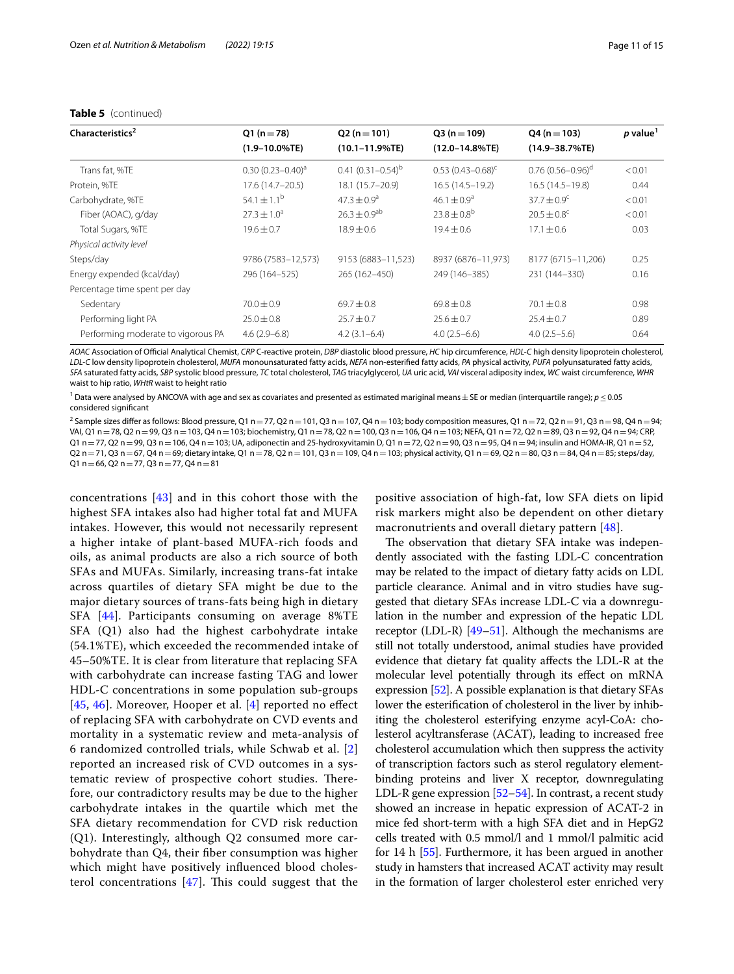| Characteristics <sup>2</sup>       | $Q1(n=78)$             | $Q2(n=101)$                  | $Q3(n=109)$                 | $Q4 (n = 103)$              | $p$ value <sup>1</sup> |
|------------------------------------|------------------------|------------------------------|-----------------------------|-----------------------------|------------------------|
|                                    | $(1.9 - 10.0\%$ TE)    | $(10.1 - 11.9\%$ TE)         | $(12.0 - 14.8\%$ TE)        | $(14.9 - 38.7\%$ TE)        |                        |
| Trans fat, %TE                     | $0.30(0.23 - 0.40)^a$  | $0.41(0.31-0.54)^b$          | $0.53(0.43 - 0.68)^c$       | $0.76(0.56 - 0.96)^d$       | < 0.01                 |
| Protein, %TE                       | 17.6 (14.7-20.5)       | 18.1 (15.7-20.9)             | $16.5(14.5-19.2)$           | $16.5(14.5 - 19.8)$         | 0.44                   |
| Carbohydrate, %TE                  | $54.1 \pm 1.1^{\rm b}$ | $47.3 \pm 0.9$ <sup>a</sup>  | $46.1 \pm 0.9^a$            | $37.7 + 0.9^{\circ}$        | < 0.01                 |
| Fiber (AOAC), g/day                | $27.3 \pm 1.0^a$       | $26.3 \pm 0.9$ <sup>ab</sup> | $23.8 \pm 0.8$ <sup>b</sup> | $20.5 \pm 0.8$ <sup>c</sup> | < 0.01                 |
| Total Sugars, %TE                  | $19.6 \pm 0.7$         | $18.9 \pm 0.6$               | $19.4 \pm 0.6$              | $17.1 \pm 0.6$              | 0.03                   |
| Physical activity level            |                        |                              |                             |                             |                        |
| Steps/day                          | 9786 (7583-12,573)     | 9153 (6883-11,523)           | 8937 (6876-11,973)          | 8177 (6715-11,206)          | 0.25                   |
| Energy expended (kcal/day)         | 296 (164-525)          | 265 (162-450)                | 249 (146-385)               | 231 (144-330)               | 0.16                   |
| Percentage time spent per day      |                        |                              |                             |                             |                        |
| Sedentary                          | $70.0 \pm 0.9$         | $69.7 \pm 0.8$               | $69.8 \pm 0.8$              | $70.1 \pm 0.8$              | 0.98                   |
| Performing light PA                | $25.0 \pm 0.8$         | $25.7 \pm 0.7$               | $25.6 \pm 0.7$              | $25.4 \pm 0.7$              | 0.89                   |
| Performing moderate to vigorous PA | $4.6(2.9-6.8)$         | $4.2(3.1-6.4)$               | $4.0(2.5-6.6)$              | $4.0(2.5-5.6)$              | 0.64                   |

## **Table 5** (continued)

*AOAC* Association of Ofcial Analytical Chemist, *CRP* C-reactive protein, *DBP* diastolic blood pressure, *HC* hip circumference, *HDL-C* high density lipoprotein cholesterol, *LDL-C* low density lipoprotein cholesterol, *MUFA* monounsaturated fatty acids, *NEFA* non-esterifed fatty acids, *PA* physical activity, *PUFA* polyunsaturated fatty acids, SFA saturated fatty acids, SBP systolic blood pressure, TC total cholesterol, TAG triacylglycerol, UA uric acid, VAI visceral adiposity index, WC waist circumference, WHR waist to hip ratio, *WHtR* waist to height ratio

1 Data were analysed by ANCOVA with age and sex as covariates and presented as estimated mariginal means±SE or median (interquartile range); *p*≤0.05 considered signifcant

<sup>2</sup> Sample sizes differ as follows: Blood pressure, Q1 n = 77, Q2 n = 101, Q3 n = 107, Q4 n = 103; body composition measures, Q1 n = 72, Q2 n = 91, Q3 n = 98, Q4 n = 94; VAI, Q1 n=78, Q2 n=99, Q3 n=103, Q4 n=103; biochemistry, Q1 n=78, Q2 n=100, Q3 n=106, Q4 n=103; NEFA, Q1 n=72, Q2 n=89, Q3 n=92, Q4 n=94; CRP,  $Q1$  n = 77,  $Q2$  n = 99,  $Q3$  n = 106,  $Q4$  n = 103; UA, adiponectin and 25-hydroxyvitamin D,  $Q1$  n =72,  $Q2$  n =90,  $Q3$  n =95,  $Q4$  n =94; insulin and HOMA-IR,  $Q1$  n = 52, Q2 n = 71, Q3 n = 67, Q4 n = 69; dietary intake, Q1 n = 78, Q2 n = 101, Q3 n = 109, Q4 n = 103; physical activity, Q1 n = 69, Q2 n = 80, Q3 n = 84, Q4 n = 85; steps/day,  $Q1$  n = 66, Q2 n = 77, Q3 n = 77, Q4 n = 81

concentrations [[43\]](#page-13-23) and in this cohort those with the highest SFA intakes also had higher total fat and MUFA intakes. However, this would not necessarily represent a higher intake of plant-based MUFA-rich foods and oils, as animal products are also a rich source of both SFAs and MUFAs. Similarly, increasing trans-fat intake across quartiles of dietary SFA might be due to the major dietary sources of trans-fats being high in dietary SFA [[44\]](#page-13-24). Participants consuming on average 8%TE SFA (Q1) also had the highest carbohydrate intake (54.1%TE), which exceeded the recommended intake of 45–50%TE. It is clear from literature that replacing SFA with carbohydrate can increase fasting TAG and lower HDL-C concentrations in some population sub-groups  $[45, 46]$  $[45, 46]$  $[45, 46]$  $[45, 46]$ . Moreover, Hooper et al.  $[4]$  $[4]$  reported no effect of replacing SFA with carbohydrate on CVD events and mortality in a systematic review and meta-analysis of 6 randomized controlled trials, while Schwab et al. [\[2](#page-12-1)] reported an increased risk of CVD outcomes in a systematic review of prospective cohort studies. Therefore, our contradictory results may be due to the higher carbohydrate intakes in the quartile which met the SFA dietary recommendation for CVD risk reduction (Q1). Interestingly, although Q2 consumed more carbohydrate than Q4, their fber consumption was higher which might have positively infuenced blood cholesterol concentrations  $[47]$  $[47]$  $[47]$ . This could suggest that the

positive association of high-fat, low SFA diets on lipid risk markers might also be dependent on other dietary macronutrients and overall dietary pattern [[48](#page-13-28)].

The observation that dietary SFA intake was independently associated with the fasting LDL-C concentration may be related to the impact of dietary fatty acids on LDL particle clearance. Animal and in vitro studies have suggested that dietary SFAs increase LDL-C via a downregulation in the number and expression of the hepatic LDL receptor (LDL-R)  $[49-51]$  $[49-51]$  $[49-51]$ . Although the mechanisms are still not totally understood, animal studies have provided evidence that dietary fat quality afects the LDL-R at the molecular level potentially through its efect on mRNA expression [\[52](#page-13-31)]. A possible explanation is that dietary SFAs lower the esterifcation of cholesterol in the liver by inhibiting the cholesterol esterifying enzyme acyl-CoA: cholesterol acyltransferase (ACAT), leading to increased free cholesterol accumulation which then suppress the activity of transcription factors such as sterol regulatory elementbinding proteins and liver X receptor, downregulating LDL-R gene expression  $[52–54]$  $[52–54]$  $[52–54]$ . In contrast, a recent study showed an increase in hepatic expression of ACAT-2 in mice fed short-term with a high SFA diet and in HepG2 cells treated with 0.5 mmol/l and 1 mmol/l palmitic acid for 14 h [\[55](#page-13-33)]. Furthermore, it has been argued in another study in hamsters that increased ACAT activity may result in the formation of larger cholesterol ester enriched very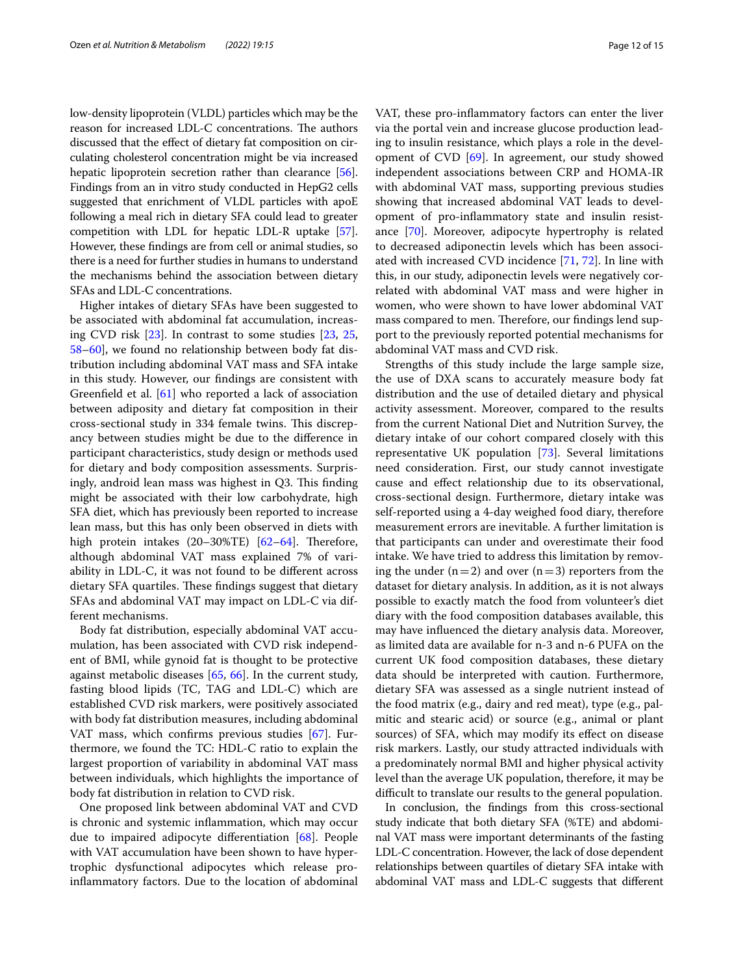low-density lipoprotein (VLDL) particles which may be the reason for increased LDL-C concentrations. The authors discussed that the efect of dietary fat composition on circulating cholesterol concentration might be via increased hepatic lipoprotein secretion rather than clearance [[56](#page-13-34)]. Findings from an in vitro study conducted in HepG2 cells suggested that enrichment of VLDL particles with apoE following a meal rich in dietary SFA could lead to greater competition with LDL for hepatic LDL-R uptake [[57](#page-13-35)]. However, these fndings are from cell or animal studies, so there is a need for further studies in humans to understand the mechanisms behind the association between dietary SFAs and LDL-C concentrations.

Higher intakes of dietary SFAs have been suggested to be associated with abdominal fat accumulation, increasing CVD risk [\[23](#page-13-4)]. In contrast to some studies [[23](#page-13-4), [25](#page-13-5), [58–](#page-13-36)[60](#page-13-37)], we found no relationship between body fat distribution including abdominal VAT mass and SFA intake in this study. However, our fndings are consistent with Greenfeld et al. [[61\]](#page-13-38) who reported a lack of association between adiposity and dietary fat composition in their cross-sectional study in 334 female twins. This discrepancy between studies might be due to the diference in participant characteristics, study design or methods used for dietary and body composition assessments. Surprisingly, android lean mass was highest in  $Q3$ . This finding might be associated with their low carbohydrate, high SFA diet, which has previously been reported to increase lean mass, but this has only been observed in diets with high protein intakes  $(20-30\sqrt{TE})$  [[62](#page-14-0)-64]. Therefore, although abdominal VAT mass explained 7% of variability in LDL-C, it was not found to be diferent across dietary SFA quartiles. These findings suggest that dietary SFAs and abdominal VAT may impact on LDL-C via different mechanisms.

Body fat distribution, especially abdominal VAT accumulation, has been associated with CVD risk independent of BMI, while gynoid fat is thought to be protective against metabolic diseases [[65](#page-14-2), [66\]](#page-14-3). In the current study, fasting blood lipids (TC, TAG and LDL-C) which are established CVD risk markers, were positively associated with body fat distribution measures, including abdominal VAT mass, which confrms previous studies [\[67](#page-14-4)]. Furthermore, we found the TC: HDL-C ratio to explain the largest proportion of variability in abdominal VAT mass between individuals, which highlights the importance of body fat distribution in relation to CVD risk.

One proposed link between abdominal VAT and CVD is chronic and systemic infammation, which may occur due to impaired adipocyte diferentiation [[68\]](#page-14-5). People with VAT accumulation have been shown to have hypertrophic dysfunctional adipocytes which release proinfammatory factors. Due to the location of abdominal

VAT, these pro-infammatory factors can enter the liver via the portal vein and increase glucose production leading to insulin resistance, which plays a role in the devel-opment of CVD [\[69\]](#page-14-6). In agreement, our study showed independent associations between CRP and HOMA-IR with abdominal VAT mass, supporting previous studies showing that increased abdominal VAT leads to development of pro-infammatory state and insulin resistance [[70](#page-14-7)]. Moreover, adipocyte hypertrophy is related to decreased adiponectin levels which has been associated with increased CVD incidence [[71](#page-14-8), [72](#page-14-9)]. In line with this, in our study, adiponectin levels were negatively correlated with abdominal VAT mass and were higher in women, who were shown to have lower abdominal VAT mass compared to men. Therefore, our findings lend support to the previously reported potential mechanisms for abdominal VAT mass and CVD risk.

Strengths of this study include the large sample size, the use of DXA scans to accurately measure body fat distribution and the use of detailed dietary and physical activity assessment. Moreover, compared to the results from the current National Diet and Nutrition Survey, the dietary intake of our cohort compared closely with this representative UK population [[73](#page-14-10)]. Several limitations need consideration. First, our study cannot investigate cause and efect relationship due to its observational, cross-sectional design. Furthermore, dietary intake was self-reported using a 4-day weighed food diary, therefore measurement errors are inevitable. A further limitation is that participants can under and overestimate their food intake. We have tried to address this limitation by removing the under  $(n=2)$  and over  $(n=3)$  reporters from the dataset for dietary analysis. In addition, as it is not always possible to exactly match the food from volunteer's diet diary with the food composition databases available, this may have infuenced the dietary analysis data. Moreover, as limited data are available for n-3 and n-6 PUFA on the current UK food composition databases, these dietary data should be interpreted with caution. Furthermore, dietary SFA was assessed as a single nutrient instead of the food matrix (e.g., dairy and red meat), type (e.g., palmitic and stearic acid) or source (e.g., animal or plant sources) of SFA, which may modify its effect on disease risk markers. Lastly, our study attracted individuals with a predominately normal BMI and higher physical activity level than the average UK population, therefore, it may be difficult to translate our results to the general population.

In conclusion, the fndings from this cross-sectional study indicate that both dietary SFA (%TE) and abdominal VAT mass were important determinants of the fasting LDL-C concentration. However, the lack of dose dependent relationships between quartiles of dietary SFA intake with abdominal VAT mass and LDL-C suggests that diferent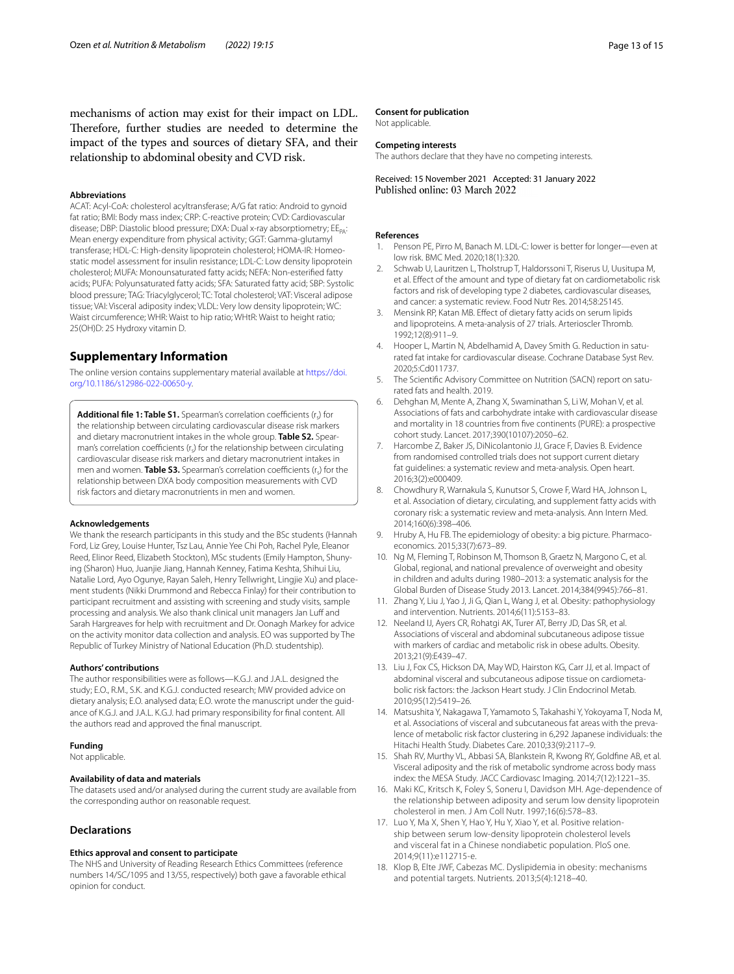mechanisms of action may exist for their impact on LDL. Therefore, further studies are needed to determine the impact of the types and sources of dietary SFA, and their relationship to abdominal obesity and CVD risk.

## **Abbreviations**

ACAT: Acyl-CoA: cholesterol acyltransferase; A/G fat ratio: Android to gynoid fat ratio; BMI: Body mass index; CRP: C-reactive protein; CVD: Cardiovascular disease; DBP: Diastolic blood pressure; DXA: Dual x-ray absorptiometry; EE<sub>PA</sub>: Mean energy expenditure from physical activity; GGT: Gamma-glutamyl transferase; HDL-C: High-density lipoprotein cholesterol; HOMA-IR: Homeostatic model assessment for insulin resistance; LDL-C: Low density lipoprotein cholesterol; MUFA: Monounsaturated fatty acids; NEFA: Non-esterifed fatty acids; PUFA: Polyunsaturated fatty acids; SFA: Saturated fatty acid; SBP: Systolic blood pressure; TAG: Triacylglycerol; TC: Total cholesterol; VAT: Visceral adipose tissue; VAI: Visceral adiposity index; VLDL: Very low density lipoprotein; WC: Waist circumference; WHR: Waist to hip ratio; WHtR: Waist to height ratio; 25(OH)D: 25 Hydroxy vitamin D.

## **Supplementary Information**

The online version contains supplementary material available at [https://doi.](https://doi.org/10.1186/s12986-022-00650-y) [org/10.1186/s12986-022-00650-y.](https://doi.org/10.1186/s12986-022-00650-y)

<span id="page-12-14"></span>Additional file 1: Table S1. Spearman's correlation coefficients (r<sub>c</sub>) for the relationship between circulating cardiovascular disease risk markers and dietary macronutrient intakes in the whole group. **Table S2.** Spearman's correlation coefficients  $(r<sub>c</sub>)$  for the relationship between circulating cardiovascular disease risk markers and dietary macronutrient intakes in men and women. **Table S3.** Spearman's correlation coefficients (r<sub>s</sub>) for the relationship between DXA body composition measurements with CVD risk factors and dietary macronutrients in men and women.

#### **Acknowledgements**

We thank the research participants in this study and the BSc students (Hannah Ford, Liz Grey, Louise Hunter, Tsz Lau, Annie Yee Chi Poh, Rachel Pyle, Eleanor Reed, Elinor Reed, Elizabeth Stockton), MSc students (Emily Hampton, Shunying (Sharon) Huo, Juanjie Jiang, Hannah Kenney, Fatima Keshta, Shihui Liu, Natalie Lord, Ayo Ogunye, Rayan Saleh, Henry Tellwright, Lingjie Xu) and placement students (Nikki Drummond and Rebecca Finlay) for their contribution to participant recruitment and assisting with screening and study visits, sample processing and analysis. We also thank clinical unit managers Jan Luff and Sarah Hargreaves for help with recruitment and Dr. Oonagh Markey for advice on the activity monitor data collection and analysis. EO was supported by The Republic of Turkey Ministry of National Education (Ph.D. studentship).

#### **Authors' contributions**

The author responsibilities were as follows—K.G.J. and J.A.L. designed the study; E.O., R.M., S.K. and K.G.J. conducted research; MW provided advice on dietary analysis; E.O. analysed data; E.O. wrote the manuscript under the guidance of K.G.J. and J.A.L. K.G.J. had primary responsibility for fnal content. All the authors read and approved the fnal manuscript.

#### **Funding**

Not applicable.

### **Availability of data and materials**

The datasets used and/or analysed during the current study are available from the corresponding author on reasonable request.

#### **Declarations**

#### **Ethics approval and consent to participate**

The NHS and University of Reading Research Ethics Committees (reference numbers 14/SC/1095 and 13/55, respectively) both gave a favorable ethical opinion for conduct.

#### **Consent for publication**

Not applicable.

## **Competing interests**

The authors declare that they have no competing interests.

Received: 15 November 2021 Accepted: 31 January 2022

#### **References**

- <span id="page-12-0"></span>Penson PE, Pirro M, Banach M. LDL-C: lower is better for longer-even at low risk. BMC Med. 2020;18(1):320.
- <span id="page-12-1"></span>2. Schwab U, Lauritzen L, Tholstrup T, Haldorssoni T, Riserus U, Uusitupa M, et al. Efect of the amount and type of dietary fat on cardiometabolic risk factors and risk of developing type 2 diabetes, cardiovascular diseases, and cancer: a systematic review. Food Nutr Res. 2014;58:25145.
- <span id="page-12-2"></span>3. Mensink RP, Katan MB. Efect of dietary fatty acids on serum lipids and lipoproteins. A meta-analysis of 27 trials. Arterioscler Thromb. 1992;12(8):911–9.
- <span id="page-12-3"></span>4. Hooper L, Martin N, Abdelhamid A, Davey Smith G. Reduction in saturated fat intake for cardiovascular disease. Cochrane Database Syst Rev. 2020;5:Cd011737.
- <span id="page-12-4"></span>5. The Scientifc Advisory Committee on Nutrition (SACN) report on saturated fats and health. 2019.
- <span id="page-12-5"></span>6. Dehghan M, Mente A, Zhang X, Swaminathan S, Li W, Mohan V, et al. Associations of fats and carbohydrate intake with cardiovascular disease and mortality in 18 countries from fve continents (PURE): a prospective cohort study. Lancet. 2017;390(10107):2050–62.
- 7. Harcombe Z, Baker JS, DiNicolantonio JJ, Grace F, Davies B. Evidence from randomised controlled trials does not support current dietary fat guidelines: a systematic review and meta-analysis. Open heart. 2016;3(2):e000409.
- <span id="page-12-6"></span>8. Chowdhury R, Warnakula S, Kunutsor S, Crowe F, Ward HA, Johnson L, et al. Association of dietary, circulating, and supplement fatty acids with coronary risk: a systematic review and meta-analysis. Ann Intern Med. 2014;160(6):398–406.
- <span id="page-12-7"></span>9. Hruby A, Hu FB. The epidemiology of obesity: a big picture. Pharmacoeconomics. 2015;33(7):673–89.
- <span id="page-12-8"></span>10. Ng M, Fleming T, Robinson M, Thomson B, Graetz N, Margono C, et al. Global, regional, and national prevalence of overweight and obesity in children and adults during 1980–2013: a systematic analysis for the Global Burden of Disease Study 2013. Lancet. 2014;384(9945):766–81.
- <span id="page-12-9"></span>11. Zhang Y, Liu J, Yao J, Ji G, Qian L, Wang J, et al. Obesity: pathophysiology and intervention. Nutrients. 2014;6(11):5153–83.
- <span id="page-12-10"></span>12. Neeland IJ, Ayers CR, Rohatgi AK, Turer AT, Berry JD, Das SR, et al. Associations of visceral and abdominal subcutaneous adipose tissue with markers of cardiac and metabolic risk in obese adults. Obesity. 2013;21(9):E439–47.
- 13. Liu J, Fox CS, Hickson DA, May WD, Hairston KG, Carr JJ, et al. Impact of abdominal visceral and subcutaneous adipose tissue on cardiometabolic risk factors: the Jackson Heart study. J Clin Endocrinol Metab. 2010;95(12):5419–26.
- 14. Matsushita Y, Nakagawa T, Yamamoto S, Takahashi Y, Yokoyama T, Noda M, et al. Associations of visceral and subcutaneous fat areas with the prevalence of metabolic risk factor clustering in 6,292 Japanese individuals: the Hitachi Health Study. Diabetes Care. 2010;33(9):2117–9.
- <span id="page-12-11"></span>15. Shah RV, Murthy VL, Abbasi SA, Blankstein R, Kwong RY, Goldfne AB, et al. Visceral adiposity and the risk of metabolic syndrome across body mass index: the MESA Study. JACC Cardiovasc Imaging. 2014;7(12):1221–35.
- <span id="page-12-12"></span>16. Maki KC, Kritsch K, Foley S, Soneru I, Davidson MH. Age-dependence of the relationship between adiposity and serum low density lipoprotein cholesterol in men. J Am Coll Nutr. 1997;16(6):578–83.
- 17. Luo Y, Ma X, Shen Y, Hao Y, Hu Y, Xiao Y, et al. Positive relationship between serum low-density lipoprotein cholesterol levels and visceral fat in a Chinese nondiabetic population. PloS one. 2014;9(11):e112715-e.
- <span id="page-12-13"></span>18. Klop B, Elte JWF, Cabezas MC. Dyslipidemia in obesity: mechanisms and potential targets. Nutrients. 2013;5(4):1218–40.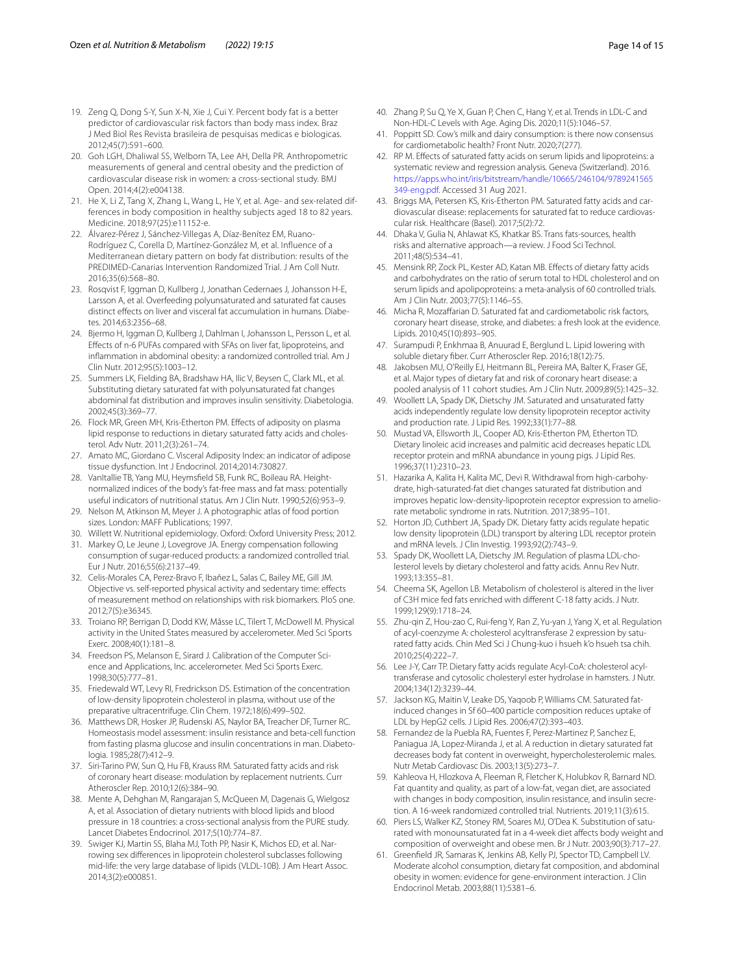- <span id="page-13-0"></span>19. Zeng Q, Dong S-Y, Sun X-N, Xie J, Cui Y. Percent body fat is a better predictor of cardiovascular risk factors than body mass index. Braz J Med Biol Res Revista brasileira de pesquisas medicas e biologicas. 2012;45(7):591–600.
- <span id="page-13-1"></span>20. Goh LGH, Dhaliwal SS, Welborn TA, Lee AH, Della PR. Anthropometric measurements of general and central obesity and the prediction of cardiovascular disease risk in women: a cross-sectional study. BMJ Open. 2014;4(2):e004138.
- <span id="page-13-2"></span>21. He X, Li Z, Tang X, Zhang L, Wang L, He Y, et al. Age- and sex-related differences in body composition in healthy subjects aged 18 to 82 years. Medicine. 2018;97(25):e11152-e.
- <span id="page-13-3"></span>22. Álvarez-Pérez J, Sánchez-Villegas A, Díaz-Benítez EM, Ruano-Rodríguez C, Corella D, Martínez-González M, et al. Infuence of a Mediterranean dietary pattern on body fat distribution: results of the PREDIMED-Canarias Intervention Randomized Trial. J Am Coll Nutr. 2016;35(6):568–80.
- <span id="page-13-4"></span>23. Rosqvist F, Iggman D, Kullberg J, Jonathan Cedernaes J, Johansson H-E, Larsson A, et al. Overfeeding polyunsaturated and saturated fat causes distinct effects on liver and visceral fat accumulation in humans. Diabetes. 2014;63:2356–68.
- 24. Bjermo H, Iggman D, Kullberg J, Dahlman I, Johansson L, Persson L, et al. Efects of n-6 PUFAs compared with SFAs on liver fat, lipoproteins, and infammation in abdominal obesity: a randomized controlled trial. Am J Clin Nutr. 2012;95(5):1003–12.
- <span id="page-13-5"></span>25. Summers LK, Fielding BA, Bradshaw HA, Ilic V, Beysen C, Clark ML, et al. Substituting dietary saturated fat with polyunsaturated fat changes abdominal fat distribution and improves insulin sensitivity. Diabetologia. 2002;45(3):369–77.
- <span id="page-13-6"></span>26. Flock MR, Green MH, Kris-Etherton PM. Efects of adiposity on plasma lipid response to reductions in dietary saturated fatty acids and cholesterol. Adv Nutr. 2011;2(3):261–74.
- <span id="page-13-7"></span>27. Amato MC, Giordano C. Visceral Adiposity Index: an indicator of adipose tissue dysfunction. Int J Endocrinol. 2014;2014:730827.
- <span id="page-13-8"></span>28. VanItallie TB, Yang MU, Heymsfield SB, Funk RC, Boileau RA. Heightnormalized indices of the body's fat-free mass and fat mass: potentially useful indicators of nutritional status. Am J Clin Nutr. 1990;52(6):953–9.
- <span id="page-13-9"></span>29. Nelson M, Atkinson M, Meyer J. A photographic atlas of food portion sizes. London: MAFF Publications; 1997.
- <span id="page-13-10"></span>30. Willett W. Nutritional epidemiology. Oxford: Oxford University Press; 2012.
- <span id="page-13-11"></span>31. Markey O, Le Jeune J, Lovegrove JA. Energy compensation following consumption of sugar-reduced products: a randomized controlled trial. Eur J Nutr. 2016;55(6):2137–49.
- <span id="page-13-12"></span>32. Celis-Morales CA, Perez-Bravo F, Ibañez L, Salas C, Bailey ME, Gill JM. Objective vs. self-reported physical activity and sedentary time: efects of measurement method on relationships with risk biomarkers. PloS one. 2012;7(5):e36345.
- <span id="page-13-13"></span>33. Troiano RP, Berrigan D, Dodd KW, Mâsse LC, Tilert T, McDowell M. Physical activity in the United States measured by accelerometer. Med Sci Sports Exerc. 2008;40(1):181–8.
- <span id="page-13-14"></span>34. Freedson PS, Melanson E, Sirard J. Calibration of the Computer Science and Applications, Inc. accelerometer. Med Sci Sports Exerc. 1998;30(5):777–81.
- <span id="page-13-15"></span>35. Friedewald WT, Levy RI, Fredrickson DS. Estimation of the concentration of low-density lipoprotein cholesterol in plasma, without use of the preparative ultracentrifuge. Clin Chem. 1972;18(6):499–502.
- <span id="page-13-16"></span>36. Matthews DR, Hosker JP, Rudenski AS, Naylor BA, Treacher DF, Turner RC. Homeostasis model assessment: insulin resistance and beta-cell function from fasting plasma glucose and insulin concentrations in man. Diabetologia. 1985;28(7):412–9.
- <span id="page-13-17"></span>37. Siri-Tarino PW, Sun Q, Hu FB, Krauss RM. Saturated fatty acids and risk of coronary heart disease: modulation by replacement nutrients. Curr Atheroscler Rep. 2010;12(6):384–90.
- <span id="page-13-18"></span>38. Mente A, Dehghan M, Rangarajan S, McQueen M, Dagenais G, Wielgosz A, et al. Association of dietary nutrients with blood lipids and blood pressure in 18 countries: a cross-sectional analysis from the PURE study. Lancet Diabetes Endocrinol. 2017;5(10):774–87.
- <span id="page-13-19"></span>39. Swiger KJ, Martin SS, Blaha MJ, Toth PP, Nasir K, Michos ED, et al. Narrowing sex diferences in lipoprotein cholesterol subclasses following mid-life: the very large database of lipids (VLDL-10B). J Am Heart Assoc. 2014;3(2):e000851.
- <span id="page-13-20"></span>40. Zhang P, Su Q, Ye X, Guan P, Chen C, Hang Y, et al. Trends in LDL-C and Non-HDL-C Levels with Age. Aging Dis. 2020;11(5):1046–57.
- <span id="page-13-21"></span>41. Poppitt SD. Cow's milk and dairy consumption: is there now consensus for cardiometabolic health? Front Nutr. 2020;7(277).
- <span id="page-13-22"></span>42. RP M. Efects of saturated fatty acids on serum lipids and lipoproteins: a systematic review and regression analysis. Geneva (Switzerland). 2016. [https://apps.who.int/iris/bitstream/handle/10665/246104/9789241565](https://apps.who.int/iris/bitstream/handle/10665/246104/9789241565349-eng.pdf) [349-eng.pdf.](https://apps.who.int/iris/bitstream/handle/10665/246104/9789241565349-eng.pdf) Accessed 31 Aug 2021.
- <span id="page-13-23"></span>43. Briggs MA, Petersen KS, Kris-Etherton PM. Saturated fatty acids and cardiovascular disease: replacements for saturated fat to reduce cardiovascular risk. Healthcare (Basel). 2017;5(2):72.
- <span id="page-13-24"></span>44. Dhaka V, Gulia N, Ahlawat KS, Khatkar BS. Trans fats-sources, health risks and alternative approach—a review. J Food Sci Technol. 2011;48(5):534–41.
- <span id="page-13-25"></span>45. Mensink RP, Zock PL, Kester AD, Katan MB. Efects of dietary fatty acids and carbohydrates on the ratio of serum total to HDL cholesterol and on serum lipids and apolipoproteins: a meta-analysis of 60 controlled trials. Am J Clin Nutr. 2003;77(5):1146–55.
- <span id="page-13-26"></span>46. Micha R, Mozaffarian D. Saturated fat and cardiometabolic risk factors, coronary heart disease, stroke, and diabetes: a fresh look at the evidence. Lipids. 2010;45(10):893–905.
- <span id="page-13-27"></span>47. Surampudi P, Enkhmaa B, Anuurad E, Berglund L. Lipid lowering with soluble dietary fber. Curr Atheroscler Rep. 2016;18(12):75.
- <span id="page-13-28"></span>48. Jakobsen MU, O'Reilly EJ, Heitmann BL, Pereira MA, Balter K, Fraser GE, et al. Major types of dietary fat and risk of coronary heart disease: a pooled analysis of 11 cohort studies. Am J Clin Nutr. 2009;89(5):1425–32.
- <span id="page-13-29"></span>49. Woollett LA, Spady DK, Dietschy JM. Saturated and unsaturated fatty acids independently regulate low density lipoprotein receptor activity and production rate. J Lipid Res. 1992;33(1):77–88.
- 50. Mustad VA, Ellsworth JL, Cooper AD, Kris-Etherton PM, Etherton TD. Dietary linoleic acid increases and palmitic acid decreases hepatic LDL receptor protein and mRNA abundance in young pigs. J Lipid Res. 1996;37(11):2310–23.
- <span id="page-13-30"></span>51. Hazarika A, Kalita H, Kalita MC, Devi R. Withdrawal from high-carbohydrate, high-saturated-fat diet changes saturated fat distribution and improves hepatic low-density-lipoprotein receptor expression to ameliorate metabolic syndrome in rats. Nutrition. 2017;38:95–101.
- <span id="page-13-31"></span>52. Horton JD, Cuthbert JA, Spady DK. Dietary fatty acids regulate hepatic low density lipoprotein (LDL) transport by altering LDL receptor protein and mRNA levels. J Clin Investig. 1993;92(2):743–9.
- 53. Spady DK, Woollett LA, Dietschy JM. Regulation of plasma LDL-cholesterol levels by dietary cholesterol and fatty acids. Annu Rev Nutr. 1993;13:355–81.
- <span id="page-13-32"></span>54. Cheema SK, Agellon LB. Metabolism of cholesterol is altered in the liver of C3H mice fed fats enriched with diferent C-18 fatty acids. J Nutr. 1999;129(9):1718–24.
- <span id="page-13-33"></span>55. Zhu-qin Z, Hou-zao C, Rui-feng Y, Ran Z, Yu-yan J, Yang X, et al. Regulation of acyl-coenzyme A: cholesterol acyltransferase 2 expression by saturated fatty acids. Chin Med Sci J Chung-kuo i hsueh k'o hsueh tsa chih. 2010;25(4):222–7.
- <span id="page-13-34"></span>56. Lee J-Y, Carr TP. Dietary fatty acids regulate Acyl-CoA: cholesterol acyltransferase and cytosolic cholesteryl ester hydrolase in hamsters. J Nutr. 2004;134(12):3239–44.
- <span id="page-13-35"></span>57. Jackson KG, Maitin V, Leake DS, Yaqoob P, Williams CM. Saturated fatinduced changes in Sf 60–400 particle composition reduces uptake of LDL by HepG2 cells. J Lipid Res. 2006;47(2):393–403.
- <span id="page-13-36"></span>58. Fernandez de la Puebla RA, Fuentes F, Perez-Martinez P, Sanchez E, Paniagua JA, Lopez-Miranda J, et al. A reduction in dietary saturated fat decreases body fat content in overweight, hypercholesterolemic males. Nutr Metab Cardiovasc Dis. 2003;13(5):273–7.
- 59. Kahleova H, Hlozkova A, Fleeman R, Fletcher K, Holubkov R, Barnard ND. Fat quantity and quality, as part of a low-fat, vegan diet, are associated with changes in body composition, insulin resistance, and insulin secretion. A 16-week randomized controlled trial. Nutrients. 2019;11(3):615.
- <span id="page-13-37"></span>60. Piers LS, Walker KZ, Stoney RM, Soares MJ, O'Dea K. Substitution of saturated with monounsaturated fat in a 4-week diet afects body weight and composition of overweight and obese men. Br J Nutr. 2003;90(3):717–27.
- <span id="page-13-38"></span>61. Greenfeld JR, Samaras K, Jenkins AB, Kelly PJ, Spector TD, Campbell LV. Moderate alcohol consumption, dietary fat composition, and abdominal obesity in women: evidence for gene-environment interaction. J Clin Endocrinol Metab. 2003;88(11):5381–6.